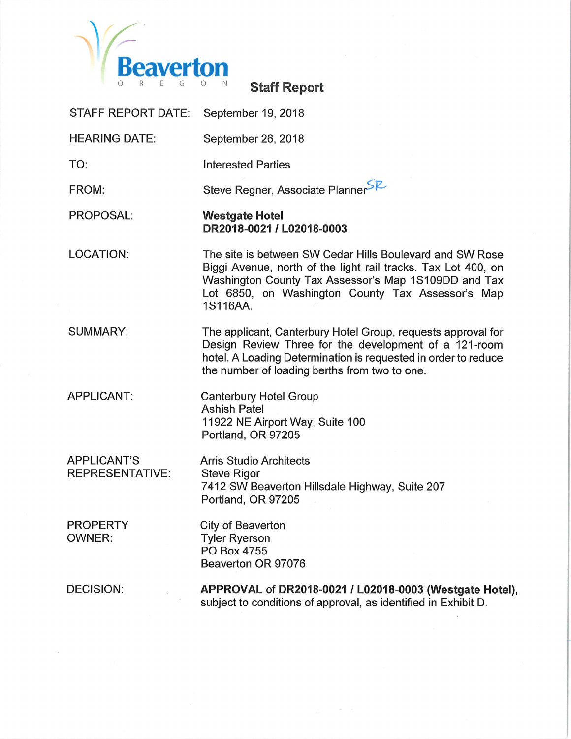

**Staff Report** 

| <b>STAFF REPORT DATE:</b>                    | September 19, 2018                                                                                                                                                                                                                                 |
|----------------------------------------------|----------------------------------------------------------------------------------------------------------------------------------------------------------------------------------------------------------------------------------------------------|
| <b>HEARING DATE:</b>                         | September 26, 2018                                                                                                                                                                                                                                 |
| TO:                                          | <b>Interested Parties</b>                                                                                                                                                                                                                          |
| FROM:                                        | Steve Regner, Associate PlannerSZ                                                                                                                                                                                                                  |
| <b>PROPOSAL:</b>                             | <b>Westgate Hotel</b><br>DR2018-0021 / L02018-0003                                                                                                                                                                                                 |
| <b>LOCATION:</b>                             | The site is between SW Cedar Hills Boulevard and SW Rose<br>Biggi Avenue, north of the light rail tracks. Tax Lot 400, on<br>Washington County Tax Assessor's Map 1S109DD and Tax<br>Lot 6850, on Washington County Tax Assessor's Map<br>1S116AA. |
| <b>SUMMARY:</b>                              | The applicant, Canterbury Hotel Group, requests approval for<br>Design Review Three for the development of a 121-room<br>hotel. A Loading Determination is requested in order to reduce<br>the number of loading berths from two to one.           |
| <b>APPLICANT:</b>                            | <b>Canterbury Hotel Group</b><br><b>Ashish Patel</b><br>11922 NE Airport Way, Suite 100<br>Portland, OR 97205                                                                                                                                      |
| <b>APPLICANT'S</b><br><b>REPRESENTATIVE:</b> | <b>Arris Studio Architects</b><br><b>Steve Rigor</b><br>7412 SW Beaverton Hillsdale Highway, Suite 207<br>Portland, OR 97205                                                                                                                       |
| <b>PROPERTY</b><br><b>OWNER:</b>             | City of Beaverton<br><b>Tyler Ryerson</b><br>PO Box 4755<br>Beaverton OR 97076                                                                                                                                                                     |
| <b>DECISION:</b>                             | APPROVAL of DR2018-0021 / L02018-0003 (Westgate Hotel),<br>subject to conditions of approval, as identified in Exhibit D.                                                                                                                          |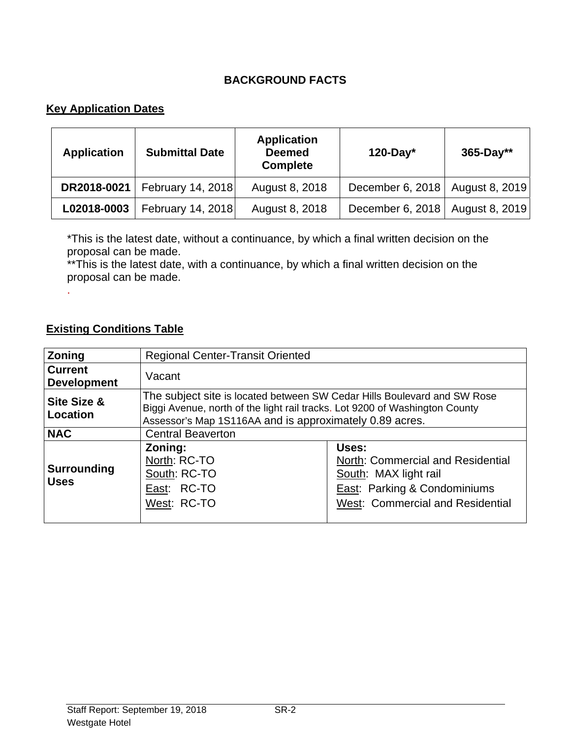## **BACKGROUND FACTS**

## **Key Application Dates**

| <b>Application</b> | <b>Submittal Date</b> | <b>Application</b><br><b>Deemed</b><br><b>Complete</b> | $120$ -Day*                       | 365-Day** |
|--------------------|-----------------------|--------------------------------------------------------|-----------------------------------|-----------|
| DR2018-0021        | February 14, 2018     | August 8, 2018                                         | December 6, 2018   August 8, 2019 |           |
| L02018-0003        | February 14, 2018     | August 8, 2018                                         | December 6, 2018   August 8, 2019 |           |

\*This is the latest date, without a continuance, by which a final written decision on the proposal can be made.

\*\*This is the latest date, with a continuance, by which a final written decision on the proposal can be made.

#### **Existing Conditions Table**

.

| <b>Zoning</b>                        | <b>Regional Center-Transit Oriented</b>                                                                                                                                                                            |                                                                                                                                                           |  |
|--------------------------------------|--------------------------------------------------------------------------------------------------------------------------------------------------------------------------------------------------------------------|-----------------------------------------------------------------------------------------------------------------------------------------------------------|--|
| <b>Current</b><br><b>Development</b> | Vacant                                                                                                                                                                                                             |                                                                                                                                                           |  |
| Site Size &<br><b>Location</b>       | The subject site is located between SW Cedar Hills Boulevard and SW Rose<br>Biggi Avenue, north of the light rail tracks. Lot 9200 of Washington County<br>Assessor's Map 1S116AA and is approximately 0.89 acres. |                                                                                                                                                           |  |
| <b>NAC</b>                           | <b>Central Beaverton</b>                                                                                                                                                                                           |                                                                                                                                                           |  |
| <b>Surrounding</b><br><b>Uses</b>    | Zoning:<br>North: RC-TO<br>South: RC-TO<br>East: RC-TO<br>West: RC-TO                                                                                                                                              | Uses:<br>North: Commercial and Residential<br>South: MAX light rail<br><b>East: Parking &amp; Condominiums</b><br><b>West: Commercial and Residential</b> |  |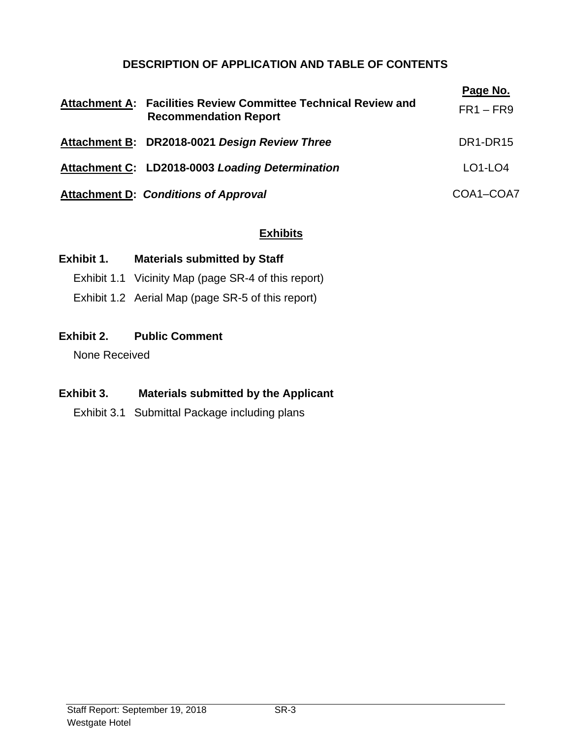## **DESCRIPTION OF APPLICATION AND TABLE OF CONTENTS**

| Attachment A: Facilities Review Committee Technical Review and<br><b>Recommendation Report</b> | Page No.<br>$FR1 - FR9$           |
|------------------------------------------------------------------------------------------------|-----------------------------------|
| Attachment B: DR2018-0021 Design Review Three                                                  | DR <sub>1</sub> -DR <sub>15</sub> |
| Attachment C: LD2018-0003 Loading Determination                                                | $LO1-LO4$                         |
| <b>Attachment D: Conditions of Approval</b>                                                    | COA1-COA7                         |

## **Exhibits**

#### **Exhibit 1. Materials submitted by Staff**

Exhibit 1.1 Vicinity Map (page SR-4 of this report)

Exhibit 1.2 Aerial Map (page SR-5 of this report)

## **Exhibit 2. Public Comment**

None Received

## **Exhibit 3. Materials submitted by the Applicant**

Exhibit 3.1 Submittal Package including plans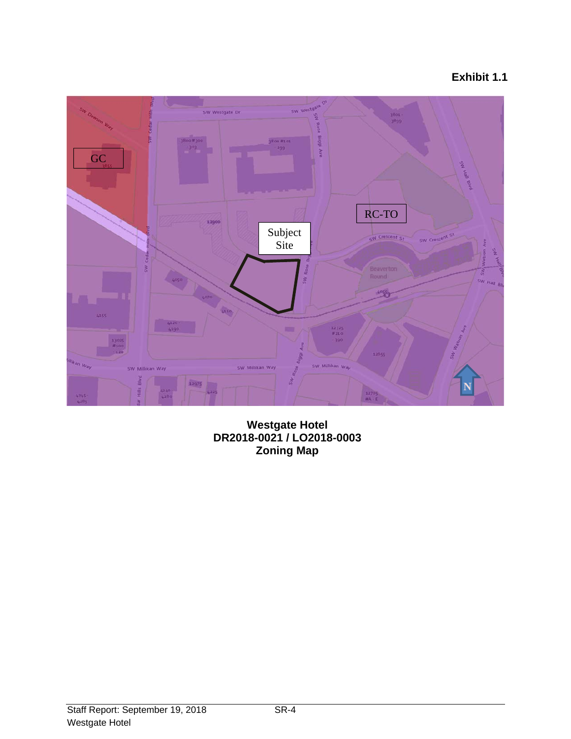# **Exhibit 1.1**



**Westgate Hotel DR2018-0021 / LO2018-0003 Zoning Map**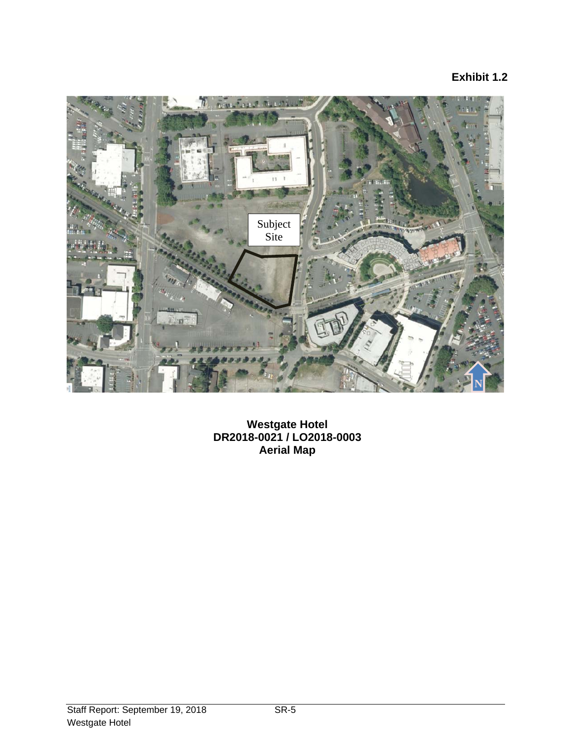## **Exhibit 1.2**



**Westgate Hotel DR2018-0021 / LO2018-0003 Aerial Map**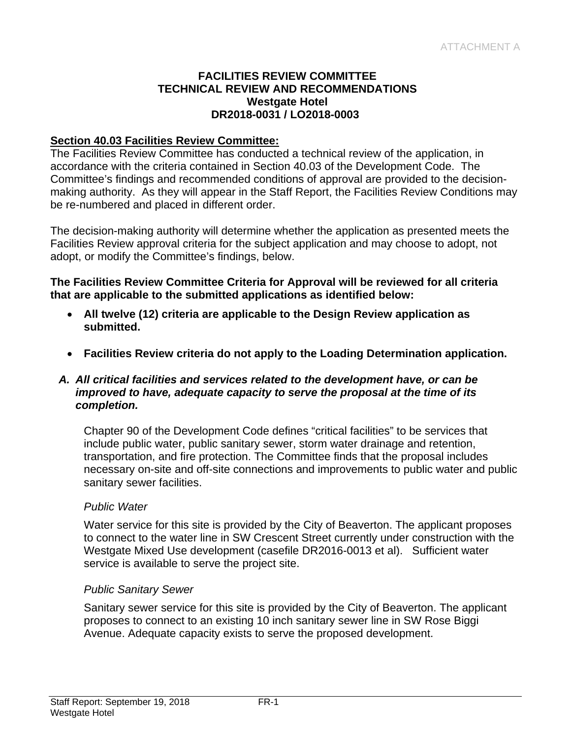#### **FACILITIES REVIEW COMMITTEE TECHNICAL REVIEW AND RECOMMENDATIONS Westgate Hotel DR2018-0031 / LO2018-0003**

#### **Section 40.03 Facilities Review Committee:**

The Facilities Review Committee has conducted a technical review of the application, in accordance with the criteria contained in Section 40.03 of the Development Code. The Committee's findings and recommended conditions of approval are provided to the decisionmaking authority. As they will appear in the Staff Report, the Facilities Review Conditions may be re-numbered and placed in different order.

The decision-making authority will determine whether the application as presented meets the Facilities Review approval criteria for the subject application and may choose to adopt, not adopt, or modify the Committee's findings, below.

**The Facilities Review Committee Criteria for Approval will be reviewed for all criteria that are applicable to the submitted applications as identified below:** 

- **All twelve (12) criteria are applicable to the Design Review application as submitted.**
- **Facilities Review criteria do not apply to the Loading Determination application.**

#### *A. All critical facilities and services related to the development have, or can be improved to have, adequate capacity to serve the proposal at the time of its completion.*

Chapter 90 of the Development Code defines "critical facilities" to be services that include public water, public sanitary sewer, storm water drainage and retention, transportation, and fire protection. The Committee finds that the proposal includes necessary on-site and off-site connections and improvements to public water and public sanitary sewer facilities.

#### *Public Water*

Water service for this site is provided by the City of Beaverton. The applicant proposes to connect to the water line in SW Crescent Street currently under construction with the Westgate Mixed Use development (casefile DR2016-0013 et al). Sufficient water service is available to serve the project site.

#### *Public Sanitary Sewer*

Sanitary sewer service for this site is provided by the City of Beaverton. The applicant proposes to connect to an existing 10 inch sanitary sewer line in SW Rose Biggi Avenue. Adequate capacity exists to serve the proposed development.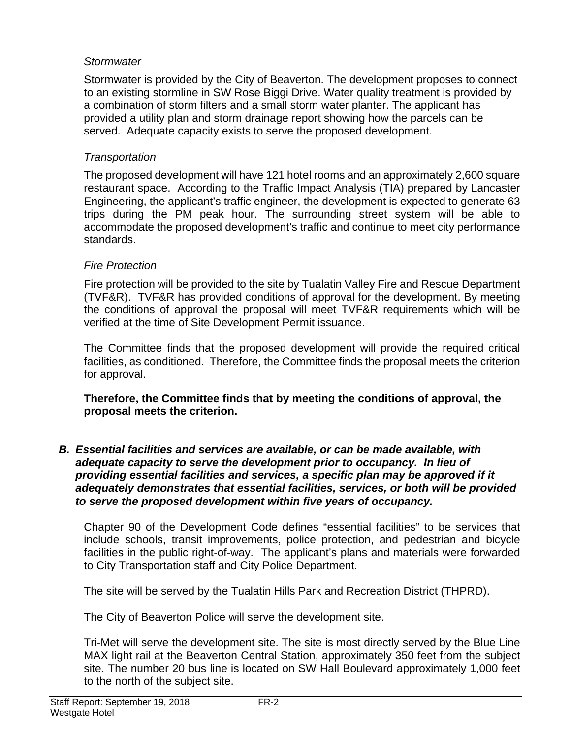## *Stormwater*

Stormwater is provided by the City of Beaverton. The development proposes to connect to an existing stormline in SW Rose Biggi Drive. Water quality treatment is provided by a combination of storm filters and a small storm water planter. The applicant has provided a utility plan and storm drainage report showing how the parcels can be served. Adequate capacity exists to serve the proposed development.

#### *Transportation*

The proposed development will have 121 hotel rooms and an approximately 2,600 square restaurant space. According to the Traffic Impact Analysis (TIA) prepared by Lancaster Engineering, the applicant's traffic engineer, the development is expected to generate 63 trips during the PM peak hour. The surrounding street system will be able to accommodate the proposed development's traffic and continue to meet city performance standards.

#### *Fire Protection*

Fire protection will be provided to the site by Tualatin Valley Fire and Rescue Department (TVF&R). TVF&R has provided conditions of approval for the development. By meeting the conditions of approval the proposal will meet TVF&R requirements which will be verified at the time of Site Development Permit issuance.

The Committee finds that the proposed development will provide the required critical facilities, as conditioned. Therefore, the Committee finds the proposal meets the criterion for approval.

**Therefore, the Committee finds that by meeting the conditions of approval, the proposal meets the criterion.** 

*B. Essential facilities and services are available, or can be made available, with adequate capacity to serve the development prior to occupancy. In lieu of*  providing essential facilities and services, a specific plan may be approved if it *adequately demonstrates that essential facilities, services, or both will be provided to serve the proposed development within five years of occupancy.* 

Chapter 90 of the Development Code defines "essential facilities" to be services that include schools, transit improvements, police protection, and pedestrian and bicycle facilities in the public right-of-way. The applicant's plans and materials were forwarded to City Transportation staff and City Police Department.

The site will be served by the Tualatin Hills Park and Recreation District (THPRD).

The City of Beaverton Police will serve the development site.

Tri-Met will serve the development site. The site is most directly served by the Blue Line MAX light rail at the Beaverton Central Station, approximately 350 feet from the subject site. The number 20 bus line is located on SW Hall Boulevard approximately 1,000 feet to the north of the subject site.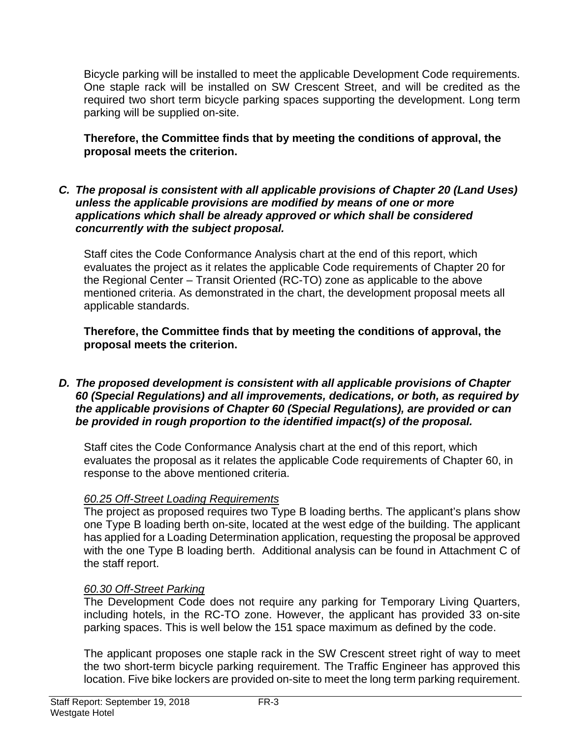Bicycle parking will be installed to meet the applicable Development Code requirements. One staple rack will be installed on SW Crescent Street, and will be credited as the required two short term bicycle parking spaces supporting the development. Long term parking will be supplied on-site.

**Therefore, the Committee finds that by meeting the conditions of approval, the proposal meets the criterion.** 

#### *C. The proposal is consistent with all applicable provisions of Chapter 20 (Land Uses) unless the applicable provisions are modified by means of one or more applications which shall be already approved or which shall be considered concurrently with the subject proposal.*

Staff cites the Code Conformance Analysis chart at the end of this report, which evaluates the project as it relates the applicable Code requirements of Chapter 20 for the Regional Center – Transit Oriented (RC-TO) zone as applicable to the above mentioned criteria. As demonstrated in the chart, the development proposal meets all applicable standards.

**Therefore, the Committee finds that by meeting the conditions of approval, the proposal meets the criterion.** 

*D. The proposed development is consistent with all applicable provisions of Chapter 60 (Special Regulations) and all improvements, dedications, or both, as required by the applicable provisions of Chapter 60 (Special Regulations), are provided or can be provided in rough proportion to the identified impact(s) of the proposal.* 

Staff cites the Code Conformance Analysis chart at the end of this report, which evaluates the proposal as it relates the applicable Code requirements of Chapter 60, in response to the above mentioned criteria.

## *60.25 Off-Street Loading Requirements*

The project as proposed requires two Type B loading berths. The applicant's plans show one Type B loading berth on-site, located at the west edge of the building. The applicant has applied for a Loading Determination application, requesting the proposal be approved with the one Type B loading berth. Additional analysis can be found in Attachment C of the staff report.

## *60.30 Off-Street Parking*

The Development Code does not require any parking for Temporary Living Quarters, including hotels, in the RC-TO zone. However, the applicant has provided 33 on-site parking spaces. This is well below the 151 space maximum as defined by the code.

The applicant proposes one staple rack in the SW Crescent street right of way to meet the two short-term bicycle parking requirement. The Traffic Engineer has approved this location. Five bike lockers are provided on-site to meet the long term parking requirement.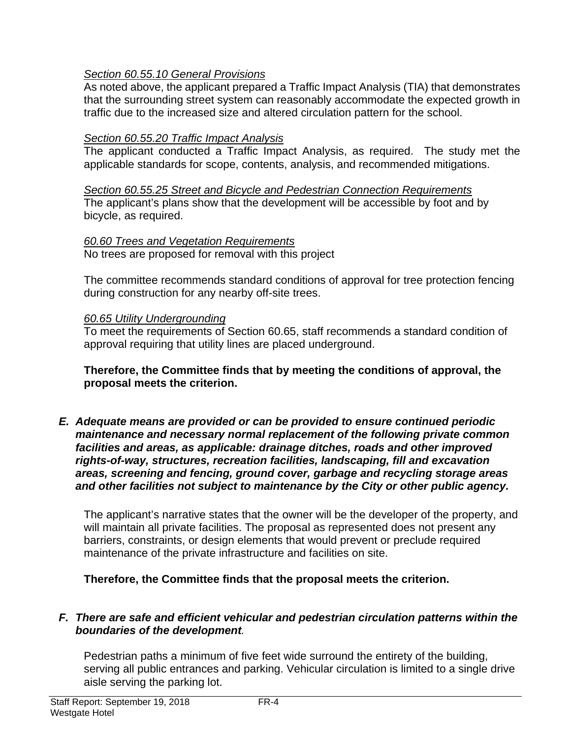## *Section 60.55.10 General Provisions*

As noted above, the applicant prepared a Traffic Impact Analysis (TIA) that demonstrates that the surrounding street system can reasonably accommodate the expected growth in traffic due to the increased size and altered circulation pattern for the school.

## *Section 60.55.20 Traffic Impact Analysis*

The applicant conducted a Traffic Impact Analysis, as required. The study met the applicable standards for scope, contents, analysis, and recommended mitigations.

*Section 60.55.25 Street and Bicycle and Pedestrian Connection Requirements*  The applicant's plans show that the development will be accessible by foot and by bicycle, as required.

## *60.60 Trees and Vegetation Requirements*

No trees are proposed for removal with this project

The committee recommends standard conditions of approval for tree protection fencing during construction for any nearby off-site trees.

## *60.65 Utility Undergrounding*

To meet the requirements of Section 60.65, staff recommends a standard condition of approval requiring that utility lines are placed underground.

**Therefore, the Committee finds that by meeting the conditions of approval, the proposal meets the criterion.** 

*E. Adequate means are provided or can be provided to ensure continued periodic maintenance and necessary normal replacement of the following private common facilities and areas, as applicable: drainage ditches, roads and other improved rights-of-way, structures, recreation facilities, landscaping, fill and excavation areas, screening and fencing, ground cover, garbage and recycling storage areas and other facilities not subject to maintenance by the City or other public agency.* 

The applicant's narrative states that the owner will be the developer of the property, and will maintain all private facilities. The proposal as represented does not present any barriers, constraints, or design elements that would prevent or preclude required maintenance of the private infrastructure and facilities on site.

**Therefore, the Committee finds that the proposal meets the criterion.** 

## *F. There are safe and efficient vehicular and pedestrian circulation patterns within the boundaries of the development.*

Pedestrian paths a minimum of five feet wide surround the entirety of the building, serving all public entrances and parking. Vehicular circulation is limited to a single drive aisle serving the parking lot.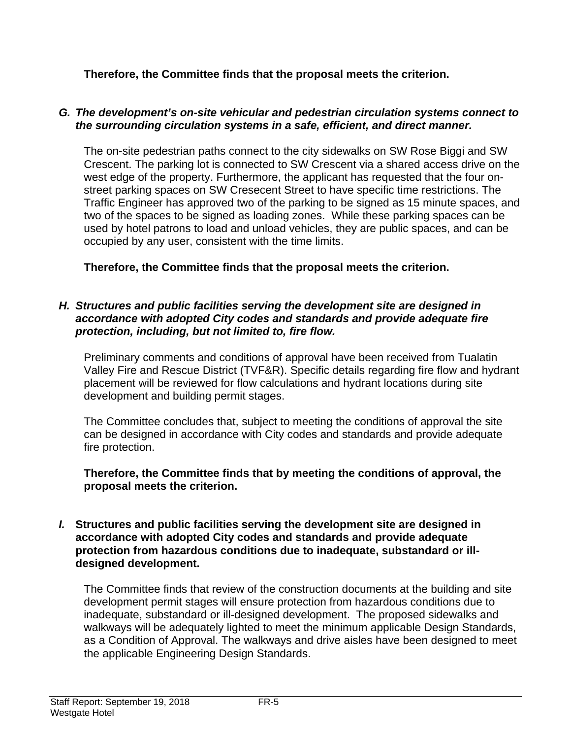**Therefore, the Committee finds that the proposal meets the criterion.** 

#### *G. The development's on-site vehicular and pedestrian circulation systems connect to the surrounding circulation systems in a safe, efficient, and direct manner.*

The on-site pedestrian paths connect to the city sidewalks on SW Rose Biggi and SW Crescent. The parking lot is connected to SW Crescent via a shared access drive on the west edge of the property. Furthermore, the applicant has requested that the four onstreet parking spaces on SW Cresecent Street to have specific time restrictions. The Traffic Engineer has approved two of the parking to be signed as 15 minute spaces, and two of the spaces to be signed as loading zones. While these parking spaces can be used by hotel patrons to load and unload vehicles, they are public spaces, and can be occupied by any user, consistent with the time limits.

**Therefore, the Committee finds that the proposal meets the criterion.** 

#### *H. Structures and public facilities serving the development site are designed in accordance with adopted City codes and standards and provide adequate fire protection, including, but not limited to, fire flow.*

Preliminary comments and conditions of approval have been received from Tualatin Valley Fire and Rescue District (TVF&R). Specific details regarding fire flow and hydrant placement will be reviewed for flow calculations and hydrant locations during site development and building permit stages.

The Committee concludes that, subject to meeting the conditions of approval the site can be designed in accordance with City codes and standards and provide adequate fire protection.

**Therefore, the Committee finds that by meeting the conditions of approval, the proposal meets the criterion.** 

#### *I.* **Structures and public facilities serving the development site are designed in accordance with adopted City codes and standards and provide adequate protection from hazardous conditions due to inadequate, substandard or illdesigned development.**

The Committee finds that review of the construction documents at the building and site development permit stages will ensure protection from hazardous conditions due to inadequate, substandard or ill-designed development. The proposed sidewalks and walkways will be adequately lighted to meet the minimum applicable Design Standards, as a Condition of Approval. The walkways and drive aisles have been designed to meet the applicable Engineering Design Standards.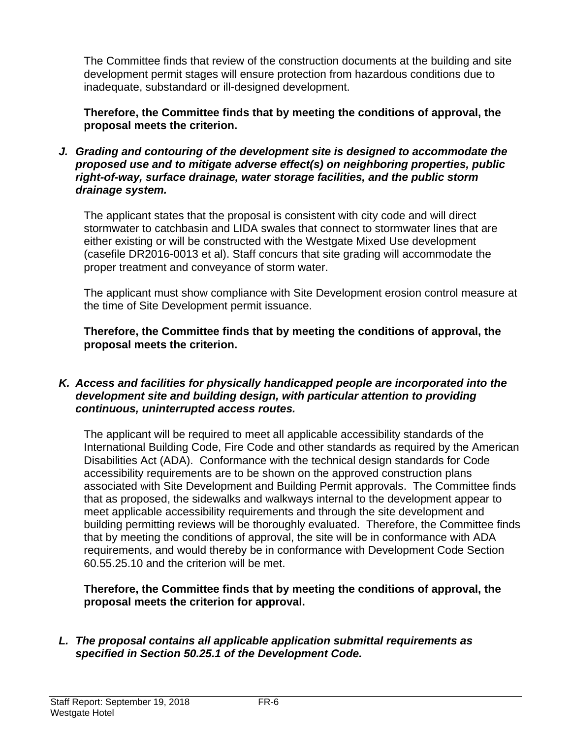The Committee finds that review of the construction documents at the building and site development permit stages will ensure protection from hazardous conditions due to inadequate, substandard or ill-designed development.

**Therefore, the Committee finds that by meeting the conditions of approval, the proposal meets the criterion.** 

*J. Grading and contouring of the development site is designed to accommodate the proposed use and to mitigate adverse effect(s) on neighboring properties, public right-of-way, surface drainage, water storage facilities, and the public storm drainage system.* 

The applicant states that the proposal is consistent with city code and will direct stormwater to catchbasin and LIDA swales that connect to stormwater lines that are either existing or will be constructed with the Westgate Mixed Use development (casefile DR2016-0013 et al). Staff concurs that site grading will accommodate the proper treatment and conveyance of storm water.

The applicant must show compliance with Site Development erosion control measure at the time of Site Development permit issuance.

**Therefore, the Committee finds that by meeting the conditions of approval, the proposal meets the criterion.** 

#### *K. Access and facilities for physically handicapped people are incorporated into the development site and building design, with particular attention to providing continuous, uninterrupted access routes.*

The applicant will be required to meet all applicable accessibility standards of the International Building Code, Fire Code and other standards as required by the American Disabilities Act (ADA). Conformance with the technical design standards for Code accessibility requirements are to be shown on the approved construction plans associated with Site Development and Building Permit approvals. The Committee finds that as proposed, the sidewalks and walkways internal to the development appear to meet applicable accessibility requirements and through the site development and building permitting reviews will be thoroughly evaluated. Therefore, the Committee finds that by meeting the conditions of approval, the site will be in conformance with ADA requirements, and would thereby be in conformance with Development Code Section 60.55.25.10 and the criterion will be met.

**Therefore, the Committee finds that by meeting the conditions of approval, the proposal meets the criterion for approval.**

*L. The proposal contains all applicable application submittal requirements as specified in Section 50.25.1 of the Development Code.*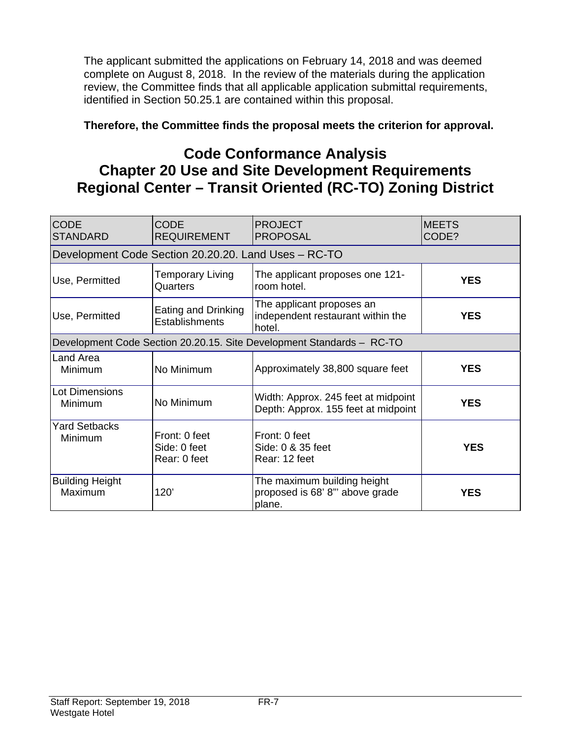The applicant submitted the applications on February 14, 2018 and was deemed complete on August 8, 2018. In the review of the materials during the application review, the Committee finds that all applicable application submittal requirements, identified in Section 50.25.1 are contained within this proposal.

## **Therefore, the Committee finds the proposal meets the criterion for approval.**

# **Code Conformance Analysis Chapter 20 Use and Site Development Requirements Regional Center – Transit Oriented (RC-TO) Zoning District**

| <b>CODE</b><br><b>STANDARD</b>                       | <b>CODE</b><br><b>REQUIREMENT</b>             | <b>PROJECT</b><br><b>PROPOSAL</b>                                          | <b>MEETS</b><br>CODE? |  |
|------------------------------------------------------|-----------------------------------------------|----------------------------------------------------------------------------|-----------------------|--|
| Development Code Section 20.20.20. Land Uses - RC-TO |                                               |                                                                            |                       |  |
| Use, Permitted                                       | <b>Temporary Living</b><br>Quarters           | The applicant proposes one 121-<br>room hotel.                             | <b>YES</b>            |  |
| Use, Permitted                                       | Eating and Drinking<br><b>Establishments</b>  | The applicant proposes an<br>independent restaurant within the<br>hotel.   | <b>YES</b>            |  |
|                                                      |                                               | Development Code Section 20.20.15. Site Development Standards - RC-TO      |                       |  |
| Land Area<br>Minimum                                 | No Minimum                                    | Approximately 38,800 square feet                                           | <b>YES</b>            |  |
| <b>Lot Dimensions</b><br>Minimum                     | No Minimum                                    | Width: Approx. 245 feet at midpoint<br>Depth: Approx. 155 feet at midpoint | <b>YES</b>            |  |
| <b>Yard Setbacks</b><br>Minimum                      | Front: 0 feet<br>Side: 0 feet<br>Rear: 0 feet | Front: 0 feet<br>Side: 0 & 35 feet<br>Rear: 12 feet                        | <b>YES</b>            |  |
| <b>Building Height</b><br>Maximum                    | 120'                                          | The maximum building height<br>proposed is 68' 8" above grade<br>plane.    | <b>YES</b>            |  |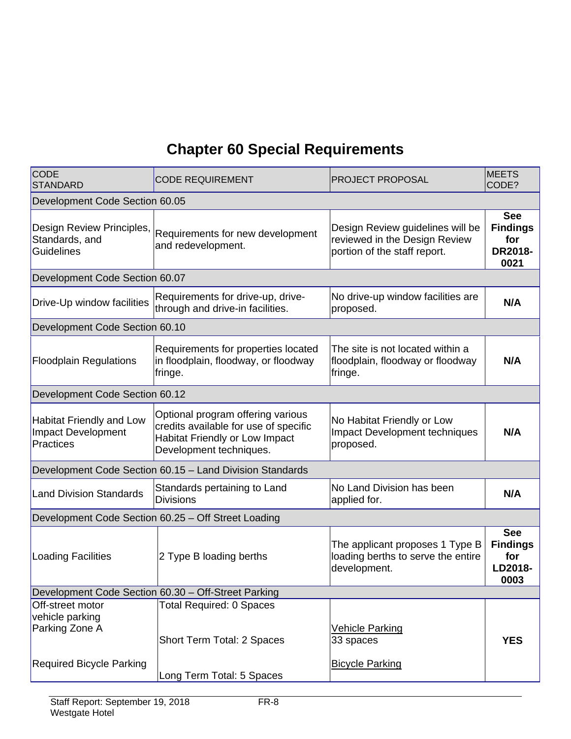# **Chapter 60 Special Requirements**

| <b>CODE</b><br>STANDARD                                                                  | <b>CODE REQUIREMENT</b>                                                                                                                        | <b>PROJECT PROPOSAL</b>                                                                           | <b>MEETS</b><br>CODE?                                          |  |  |
|------------------------------------------------------------------------------------------|------------------------------------------------------------------------------------------------------------------------------------------------|---------------------------------------------------------------------------------------------------|----------------------------------------------------------------|--|--|
| Development Code Section 60.05                                                           |                                                                                                                                                |                                                                                                   |                                                                |  |  |
| Design Review Principles,<br>Standards, and<br><b>Guidelines</b>                         | Requirements for new development<br>and redevelopment.                                                                                         | Design Review guidelines will be<br>reviewed in the Design Review<br>portion of the staff report. | <b>See</b><br><b>Findings</b><br>for<br><b>DR2018-</b><br>0021 |  |  |
| Development Code Section 60.07                                                           |                                                                                                                                                |                                                                                                   |                                                                |  |  |
| Drive-Up window facilities                                                               | Requirements for drive-up, drive-<br>through and drive-in facilities.                                                                          | No drive-up window facilities are<br>proposed.                                                    | N/A                                                            |  |  |
| Development Code Section 60.10                                                           |                                                                                                                                                |                                                                                                   |                                                                |  |  |
| <b>Floodplain Regulations</b>                                                            | Requirements for properties located<br>in floodplain, floodway, or floodway<br>fringe.                                                         | The site is not located within a<br>floodplain, floodway or floodway<br>fringe.                   | N/A                                                            |  |  |
| Development Code Section 60.12                                                           |                                                                                                                                                |                                                                                                   |                                                                |  |  |
| Habitat Friendly and Low<br><b>Impact Development</b><br><b>Practices</b>                | Optional program offering various<br>credits available for use of specific<br><b>Habitat Friendly or Low Impact</b><br>Development techniques. | No Habitat Friendly or Low<br>Impact Development techniques<br>proposed.                          | N/A                                                            |  |  |
|                                                                                          | Development Code Section 60.15 - Land Division Standards                                                                                       |                                                                                                   |                                                                |  |  |
| <b>Land Division Standards</b>                                                           | Standards pertaining to Land<br><b>Divisions</b>                                                                                               | No Land Division has been<br>applied for.                                                         | N/A                                                            |  |  |
|                                                                                          | Development Code Section 60.25 - Off Street Loading                                                                                            |                                                                                                   |                                                                |  |  |
| <b>Loading Facilities</b>                                                                | 2 Type B loading berths                                                                                                                        | The applicant proposes 1 Type B<br>loading berths to serve the entire<br>development.             | <b>See</b><br><b>Findings</b><br>for<br>LD2018-<br>0003        |  |  |
| Development Code Section 60.30 - Off-Street Parking                                      |                                                                                                                                                |                                                                                                   |                                                                |  |  |
| Off-street motor<br>vehicle parking<br>Parking Zone A<br><b>Required Bicycle Parking</b> | <b>Total Required: 0 Spaces</b><br>Short Term Total: 2 Spaces                                                                                  | <b>Vehicle Parking</b><br>33 spaces<br><b>Bicycle Parking</b>                                     | <b>YES</b>                                                     |  |  |
|                                                                                          | Long Term Total: 5 Spaces                                                                                                                      |                                                                                                   |                                                                |  |  |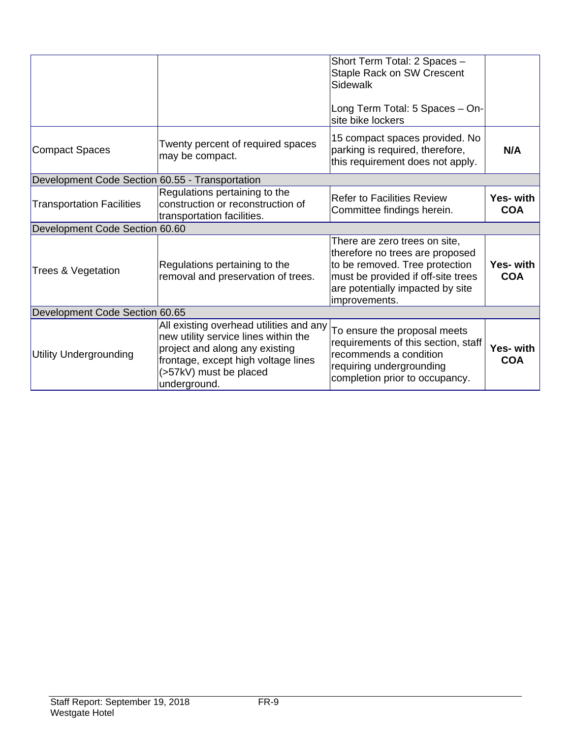|                                                 |                                                                                                                                                                                                    | Short Term Total: 2 Spaces -<br><b>Staple Rack on SW Crescent</b><br>Sidewalk<br>Long Term Total: 5 Spaces - On-<br>site bike lockers                                                         |                         |
|-------------------------------------------------|----------------------------------------------------------------------------------------------------------------------------------------------------------------------------------------------------|-----------------------------------------------------------------------------------------------------------------------------------------------------------------------------------------------|-------------------------|
| <b>Compact Spaces</b>                           | Twenty percent of required spaces<br>may be compact.                                                                                                                                               | 15 compact spaces provided. No<br>parking is required, therefore,<br>this requirement does not apply.                                                                                         | N/A                     |
| Development Code Section 60.55 - Transportation |                                                                                                                                                                                                    |                                                                                                                                                                                               |                         |
| <b>Transportation Facilities</b>                | Regulations pertaining to the<br>construction or reconstruction of<br>transportation facilities.                                                                                                   | <b>Refer to Facilities Review</b><br>Committee findings herein.                                                                                                                               | Yes- with<br><b>COA</b> |
| Development Code Section 60.60                  |                                                                                                                                                                                                    |                                                                                                                                                                                               |                         |
| Trees & Vegetation                              | Regulations pertaining to the<br>removal and preservation of trees.                                                                                                                                | There are zero trees on site,<br>therefore no trees are proposed<br>to be removed. Tree protection<br>must be provided if off-site trees<br>are potentially impacted by site<br>improvements. | Yes- with<br><b>COA</b> |
| Development Code Section 60.65                  |                                                                                                                                                                                                    |                                                                                                                                                                                               |                         |
| <b>Utility Undergrounding</b>                   | All existing overhead utilities and any<br>new utility service lines within the<br>project and along any existing<br>frontage, except high voltage lines<br>(>57kV) must be placed<br>underground. | To ensure the proposal meets<br>requirements of this section, staff<br>recommends a condition<br>requiring undergrounding<br>completion prior to occupancy.                                   | Yes- with<br><b>COA</b> |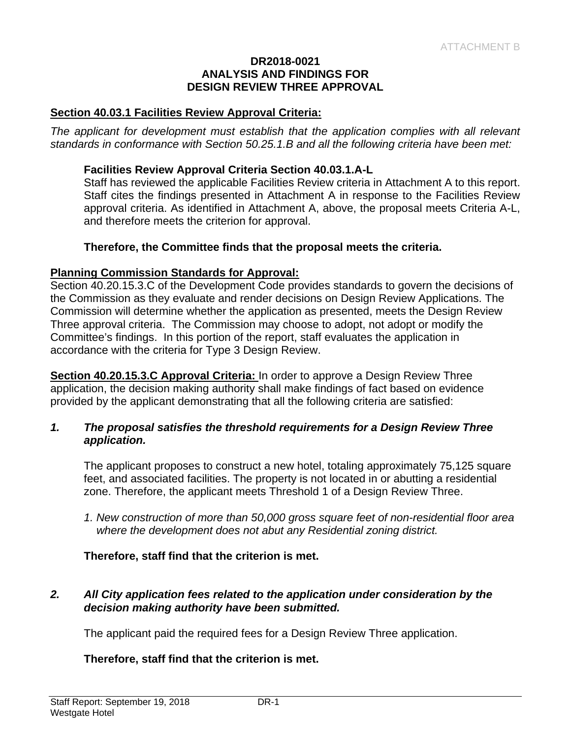#### **DR2018-0021 ANALYSIS AND FINDINGS FOR DESIGN REVIEW THREE APPROVAL**

#### **Section 40.03.1 Facilities Review Approval Criteria:**

*The applicant for development must establish that the application complies with all relevant standards in conformance with Section 50.25.1.B and all the following criteria have been met:* 

#### **Facilities Review Approval Criteria Section 40.03.1.A-L**

Staff has reviewed the applicable Facilities Review criteria in Attachment A to this report. Staff cites the findings presented in Attachment A in response to the Facilities Review approval criteria. As identified in Attachment A, above, the proposal meets Criteria A-L, and therefore meets the criterion for approval.

#### **Therefore, the Committee finds that the proposal meets the criteria.**

#### **Planning Commission Standards for Approval:**

Section 40.20.15.3.C of the Development Code provides standards to govern the decisions of the Commission as they evaluate and render decisions on Design Review Applications. The Commission will determine whether the application as presented, meets the Design Review Three approval criteria. The Commission may choose to adopt, not adopt or modify the Committee's findings. In this portion of the report, staff evaluates the application in accordance with the criteria for Type 3 Design Review.

**Section 40.20.15.3.C Approval Criteria:** In order to approve a Design Review Three application, the decision making authority shall make findings of fact based on evidence provided by the applicant demonstrating that all the following criteria are satisfied:

#### *1. The proposal satisfies the threshold requirements for a Design Review Three application.*

The applicant proposes to construct a new hotel, totaling approximately 75,125 square feet, and associated facilities. The property is not located in or abutting a residential zone. Therefore, the applicant meets Threshold 1 of a Design Review Three.

*1. New construction of more than 50,000 gross square feet of non-residential floor area where the development does not abut any Residential zoning district.* 

#### **Therefore, staff find that the criterion is met.**

## *2. All City application fees related to the application under consideration by the decision making authority have been submitted.*

The applicant paid the required fees for a Design Review Three application.

#### **Therefore, staff find that the criterion is met.**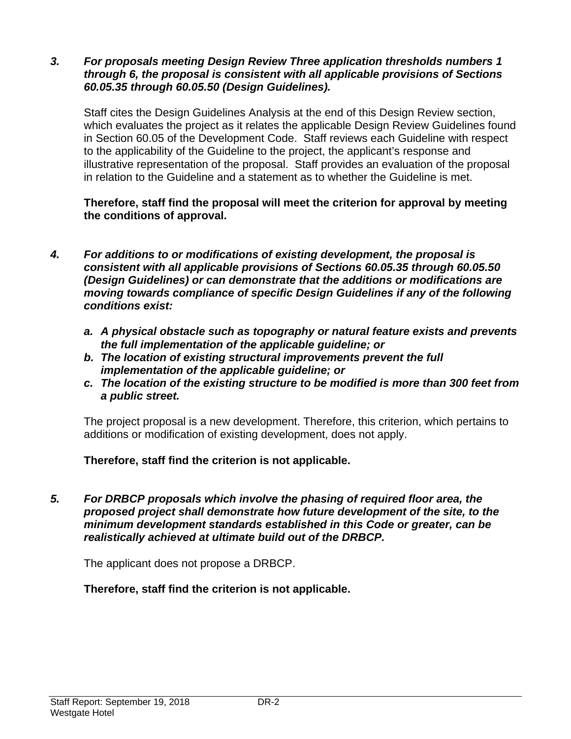#### *3. For proposals meeting Design Review Three application thresholds numbers 1 through 6, the proposal is consistent with all applicable provisions of Sections 60.05.35 through 60.05.50 (Design Guidelines).*

Staff cites the Design Guidelines Analysis at the end of this Design Review section, which evaluates the project as it relates the applicable Design Review Guidelines found in Section 60.05 of the Development Code. Staff reviews each Guideline with respect to the applicability of the Guideline to the project, the applicant's response and illustrative representation of the proposal. Staff provides an evaluation of the proposal in relation to the Guideline and a statement as to whether the Guideline is met.

**Therefore, staff find the proposal will meet the criterion for approval by meeting the conditions of approval.** 

- *4. For additions to or modifications of existing development, the proposal is consistent with all applicable provisions of Sections 60.05.35 through 60.05.50 (Design Guidelines) or can demonstrate that the additions or modifications are moving towards compliance of specific Design Guidelines if any of the following conditions exist:* 
	- *a. A physical obstacle such as topography or natural feature exists and prevents the full implementation of the applicable guideline; or*
	- *b. The location of existing structural improvements prevent the full implementation of the applicable guideline; or*
	- *c. The location of the existing structure to be modified is more than 300 feet from a public street.*

The project proposal is a new development. Therefore, this criterion, which pertains to additions or modification of existing development, does not apply.

**Therefore, staff find the criterion is not applicable.** 

*5. For DRBCP proposals which involve the phasing of required floor area, the proposed project shall demonstrate how future development of the site, to the minimum development standards established in this Code or greater, can be realistically achieved at ultimate build out of the DRBCP.* 

The applicant does not propose a DRBCP.

**Therefore, staff find the criterion is not applicable.**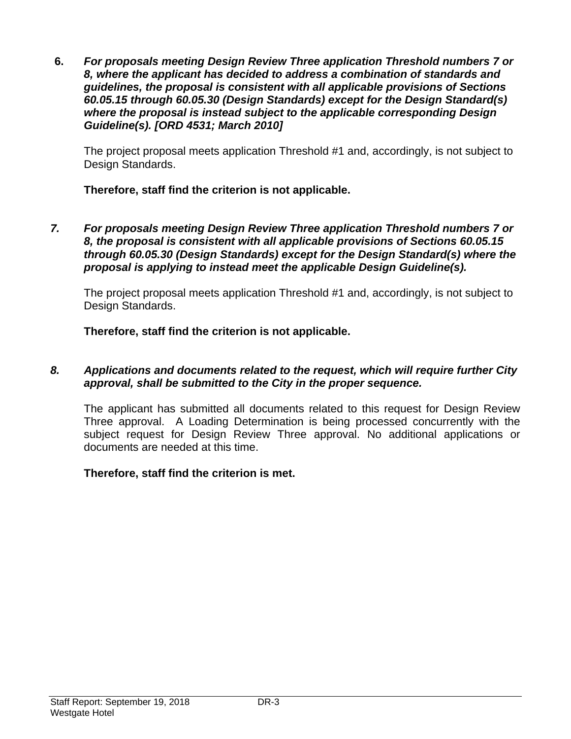**6.** *For proposals meeting Design Review Three application Threshold numbers 7 or 8, where the applicant has decided to address a combination of standards and guidelines, the proposal is consistent with all applicable provisions of Sections 60.05.15 through 60.05.30 (Design Standards) except for the Design Standard(s) where the proposal is instead subject to the applicable corresponding Design Guideline(s). [ORD 4531; March 2010]*

The project proposal meets application Threshold #1 and, accordingly, is not subject to Design Standards.

**Therefore, staff find the criterion is not applicable.** 

*7. For proposals meeting Design Review Three application Threshold numbers 7 or 8, the proposal is consistent with all applicable provisions of Sections 60.05.15 through 60.05.30 (Design Standards) except for the Design Standard(s) where the proposal is applying to instead meet the applicable Design Guideline(s).* 

The project proposal meets application Threshold #1 and, accordingly, is not subject to Design Standards.

**Therefore, staff find the criterion is not applicable.** 

## *8. Applications and documents related to the request, which will require further City approval, shall be submitted to the City in the proper sequence.*

The applicant has submitted all documents related to this request for Design Review Three approval. A Loading Determination is being processed concurrently with the subject request for Design Review Three approval. No additional applications or documents are needed at this time.

## **Therefore, staff find the criterion is met.**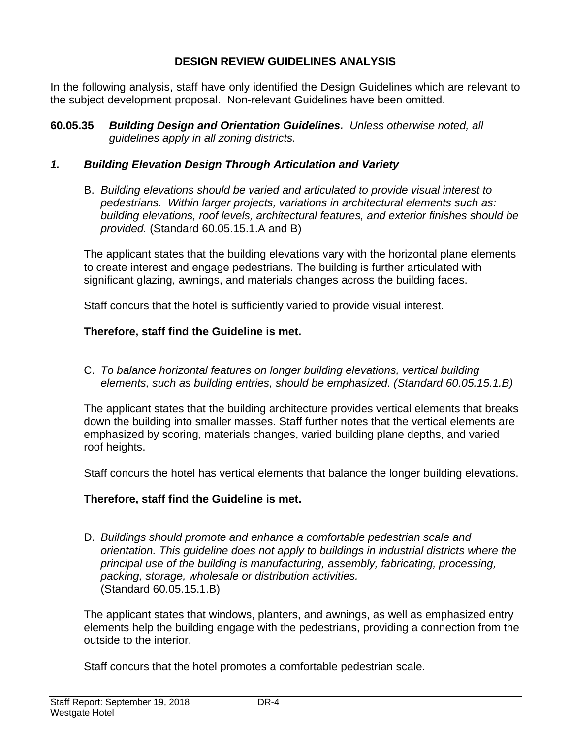## **DESIGN REVIEW GUIDELINES ANALYSIS**

In the following analysis, staff have only identified the Design Guidelines which are relevant to the subject development proposal. Non-relevant Guidelines have been omitted.

**60.05.35** *Building Design and Orientation Guidelines. Unless otherwise noted, all guidelines apply in all zoning districts.*

## *1. Building Elevation Design Through Articulation and Variety*

B. *Building elevations should be varied and articulated to provide visual interest to pedestrians. Within larger projects, variations in architectural elements such as: building elevations, roof levels, architectural features, and exterior finishes should be provided.* (Standard 60.05.15.1.A and B)

The applicant states that the building elevations vary with the horizontal plane elements to create interest and engage pedestrians. The building is further articulated with significant glazing, awnings, and materials changes across the building faces.

Staff concurs that the hotel is sufficiently varied to provide visual interest.

## **Therefore, staff find the Guideline is met.**

C. *To balance horizontal features on longer building elevations, vertical building elements, such as building entries, should be emphasized. (Standard 60.05.15.1.B)*

The applicant states that the building architecture provides vertical elements that breaks down the building into smaller masses. Staff further notes that the vertical elements are emphasized by scoring, materials changes, varied building plane depths, and varied roof heights.

Staff concurs the hotel has vertical elements that balance the longer building elevations.

## **Therefore, staff find the Guideline is met.**

D. *Buildings should promote and enhance a comfortable pedestrian scale and orientation. This guideline does not apply to buildings in industrial districts where the principal use of the building is manufacturing, assembly, fabricating, processing, packing, storage, wholesale or distribution activities.*  (Standard 60.05.15.1.B)

The applicant states that windows, planters, and awnings, as well as emphasized entry elements help the building engage with the pedestrians, providing a connection from the outside to the interior.

Staff concurs that the hotel promotes a comfortable pedestrian scale.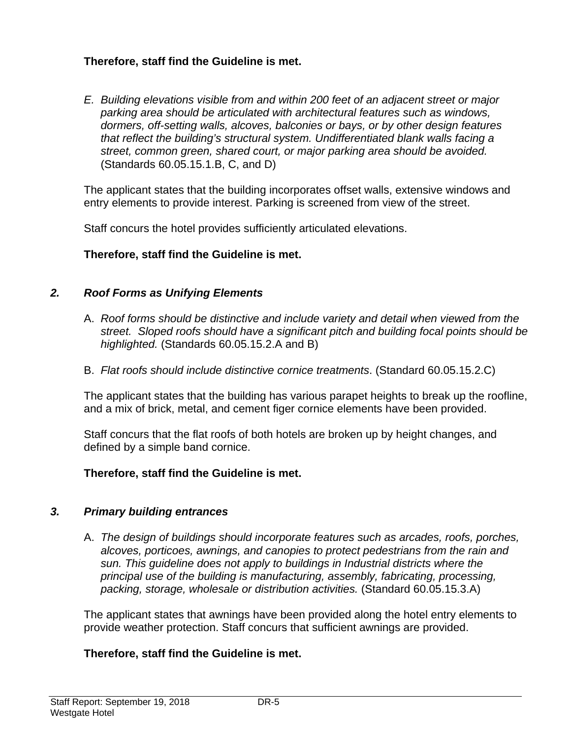## **Therefore, staff find the Guideline is met.**

*E. Building elevations visible from and within 200 feet of an adjacent street or major parking area should be articulated with architectural features such as windows, dormers, off-setting walls, alcoves, balconies or bays, or by other design features that reflect the building's structural system. Undifferentiated blank walls facing a street, common green, shared court, or major parking area should be avoided.*  (Standards 60.05.15.1.B, C, and D)

The applicant states that the building incorporates offset walls, extensive windows and entry elements to provide interest. Parking is screened from view of the street.

Staff concurs the hotel provides sufficiently articulated elevations.

## **Therefore, staff find the Guideline is met.**

#### *2. Roof Forms as Unifying Elements*

- A. *Roof forms should be distinctive and include variety and detail when viewed from the street. Sloped roofs should have a significant pitch and building focal points should be highlighted.* (Standards 60.05.15.2.A and B)
- B. *Flat roofs should include distinctive cornice treatments*. (Standard 60.05.15.2.C)

The applicant states that the building has various parapet heights to break up the roofline, and a mix of brick, metal, and cement figer cornice elements have been provided.

Staff concurs that the flat roofs of both hotels are broken up by height changes, and defined by a simple band cornice.

## **Therefore, staff find the Guideline is met.**

#### *3. Primary building entrances*

A. *The design of buildings should incorporate features such as arcades, roofs, porches, alcoves, porticoes, awnings, and canopies to protect pedestrians from the rain and sun. This guideline does not apply to buildings in Industrial districts where the principal use of the building is manufacturing, assembly, fabricating, processing, packing, storage, wholesale or distribution activities.* (Standard 60.05.15.3.A)

The applicant states that awnings have been provided along the hotel entry elements to provide weather protection. Staff concurs that sufficient awnings are provided.

#### **Therefore, staff find the Guideline is met.**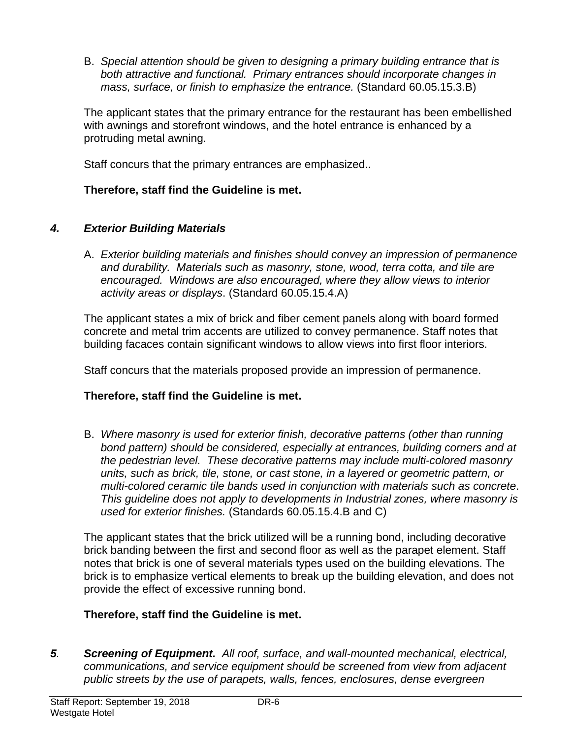B. *Special attention should be given to designing a primary building entrance that is both attractive and functional. Primary entrances should incorporate changes in mass, surface, or finish to emphasize the entrance.* (Standard 60.05.15.3.B)

The applicant states that the primary entrance for the restaurant has been embellished with awnings and storefront windows, and the hotel entrance is enhanced by a protruding metal awning.

Staff concurs that the primary entrances are emphasized..

## **Therefore, staff find the Guideline is met.**

## *4. Exterior Building Materials*

A. *Exterior building materials and finishes should convey an impression of permanence and durability. Materials such as masonry, stone, wood, terra cotta, and tile are encouraged. Windows are also encouraged, where they allow views to interior activity areas or displays*. (Standard 60.05.15.4.A)

The applicant states a mix of brick and fiber cement panels along with board formed concrete and metal trim accents are utilized to convey permanence. Staff notes that building facaces contain significant windows to allow views into first floor interiors.

Staff concurs that the materials proposed provide an impression of permanence.

# **Therefore, staff find the Guideline is met.**

B. *Where masonry is used for exterior finish, decorative patterns (other than running bond pattern) should be considered, especially at entrances, building corners and at the pedestrian level. These decorative patterns may include multi-colored masonry units, such as brick, tile, stone, or cast stone, in a layered or geometric pattern, or multi-colored ceramic tile bands used in conjunction with materials such as concrete*. *This guideline does not apply to developments in Industrial zones, where masonry is used for exterior finishes.* (Standards 60.05.15.4.B and C)

The applicant states that the brick utilized will be a running bond, including decorative brick banding between the first and second floor as well as the parapet element. Staff notes that brick is one of several materials types used on the building elevations. The brick is to emphasize vertical elements to break up the building elevation, and does not provide the effect of excessive running bond.

# **Therefore, staff find the Guideline is met.**

*5. Screening of Equipment. All roof, surface, and wall-mounted mechanical, electrical, communications, and service equipment should be screened from view from adjacent public streets by the use of parapets, walls, fences, enclosures, dense evergreen*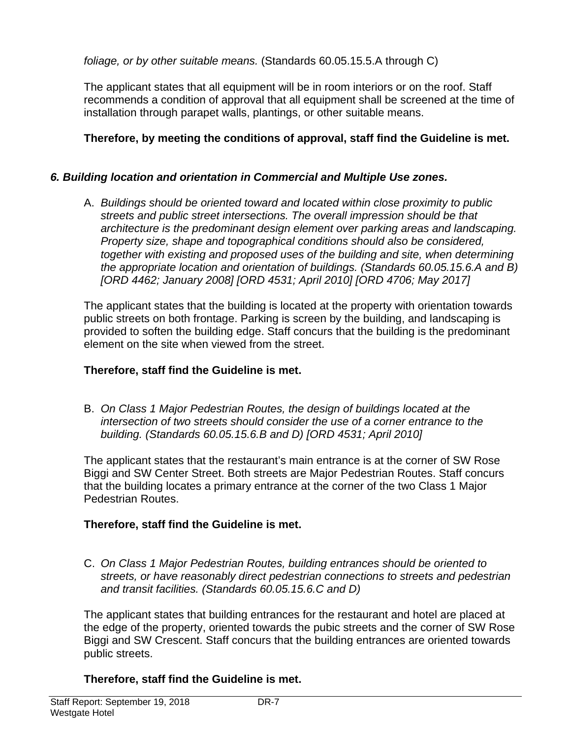*foliage, or by other suitable means.* (Standards 60.05.15.5.A through C)

The applicant states that all equipment will be in room interiors or on the roof. Staff recommends a condition of approval that all equipment shall be screened at the time of installation through parapet walls, plantings, or other suitable means.

## **Therefore, by meeting the conditions of approval, staff find the Guideline is met.**

## *6. Building location and orientation in Commercial and Multiple Use zones.*

A. *Buildings should be oriented toward and located within close proximity to public streets and public street intersections. The overall impression should be that architecture is the predominant design element over parking areas and landscaping. Property size, shape and topographical conditions should also be considered, together with existing and proposed uses of the building and site, when determining the appropriate location and orientation of buildings. (Standards 60.05.15.6.A and B) [ORD 4462; January 2008] [ORD 4531; April 2010] [ORD 4706; May 2017]* 

The applicant states that the building is located at the property with orientation towards public streets on both frontage. Parking is screen by the building, and landscaping is provided to soften the building edge. Staff concurs that the building is the predominant element on the site when viewed from the street.

## **Therefore, staff find the Guideline is met.**

B. *On Class 1 Major Pedestrian Routes, the design of buildings located at the intersection of two streets should consider the use of a corner entrance to the building. (Standards 60.05.15.6.B and D) [ORD 4531; April 2010]* 

The applicant states that the restaurant's main entrance is at the corner of SW Rose Biggi and SW Center Street. Both streets are Major Pedestrian Routes. Staff concurs that the building locates a primary entrance at the corner of the two Class 1 Major Pedestrian Routes.

## **Therefore, staff find the Guideline is met.**

C. *On Class 1 Major Pedestrian Routes, building entrances should be oriented to streets, or have reasonably direct pedestrian connections to streets and pedestrian and transit facilities. (Standards 60.05.15.6.C and D)* 

The applicant states that building entrances for the restaurant and hotel are placed at the edge of the property, oriented towards the pubic streets and the corner of SW Rose Biggi and SW Crescent. Staff concurs that the building entrances are oriented towards public streets.

## **Therefore, staff find the Guideline is met.**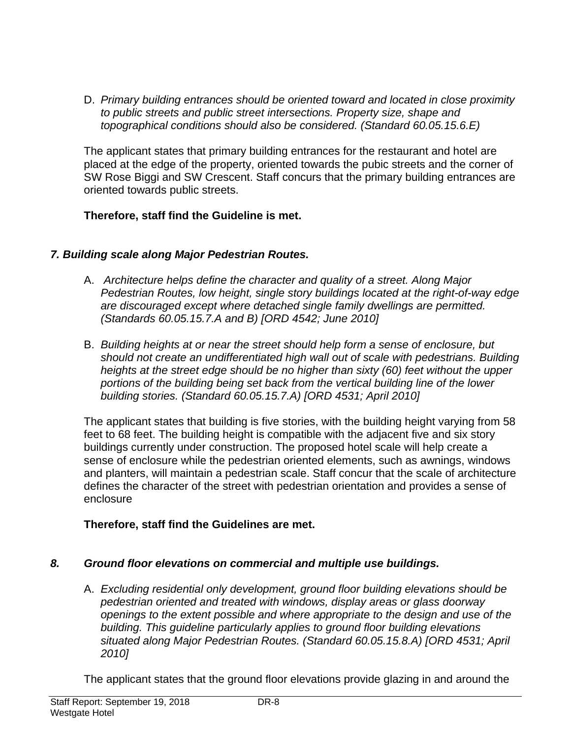D. *Primary building entrances should be oriented toward and located in close proximity to public streets and public street intersections. Property size, shape and topographical conditions should also be considered. (Standard 60.05.15.6.E)* 

The applicant states that primary building entrances for the restaurant and hotel are placed at the edge of the property, oriented towards the pubic streets and the corner of SW Rose Biggi and SW Crescent. Staff concurs that the primary building entrances are oriented towards public streets.

## **Therefore, staff find the Guideline is met.**

## *7. Building scale along Major Pedestrian Routes.*

- A. *Architecture helps define the character and quality of a street. Along Major Pedestrian Routes, low height, single story buildings located at the right-of-way edge are discouraged except where detached single family dwellings are permitted. (Standards 60.05.15.7.A and B) [ORD 4542; June 2010]*
- B. *Building heights at or near the street should help form a sense of enclosure, but should not create an undifferentiated high wall out of scale with pedestrians. Building heights at the street edge should be no higher than sixty (60) feet without the upper portions of the building being set back from the vertical building line of the lower building stories. (Standard 60.05.15.7.A) [ORD 4531; April 2010]*

The applicant states that building is five stories, with the building height varying from 58 feet to 68 feet. The building height is compatible with the adjacent five and six story buildings currently under construction. The proposed hotel scale will help create a sense of enclosure while the pedestrian oriented elements, such as awnings, windows and planters, will maintain a pedestrian scale. Staff concur that the scale of architecture defines the character of the street with pedestrian orientation and provides a sense of enclosure

## **Therefore, staff find the Guidelines are met.**

# *8. Ground floor elevations on commercial and multiple use buildings.*

A. *Excluding residential only development, ground floor building elevations should be pedestrian oriented and treated with windows, display areas or glass doorway openings to the extent possible and where appropriate to the design and use of the building. This guideline particularly applies to ground floor building elevations situated along Major Pedestrian Routes. (Standard 60.05.15.8.A) [ORD 4531; April 2010]* 

The applicant states that the ground floor elevations provide glazing in and around the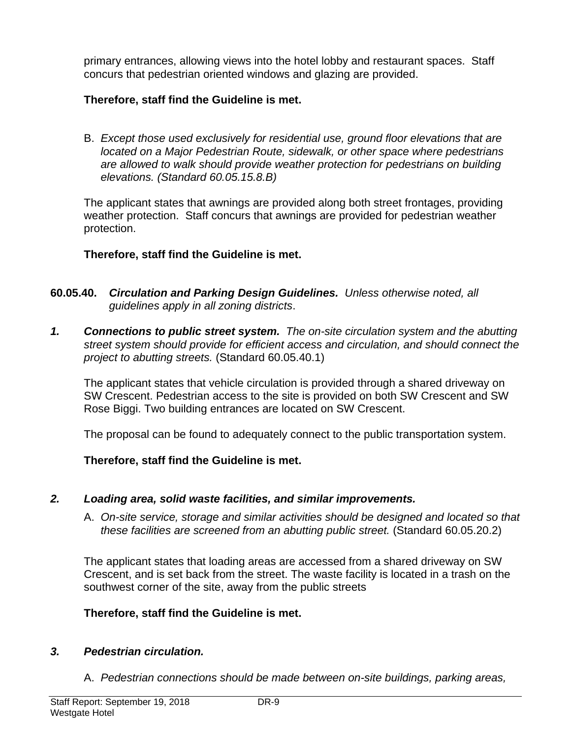primary entrances, allowing views into the hotel lobby and restaurant spaces. Staff concurs that pedestrian oriented windows and glazing are provided.

## **Therefore, staff find the Guideline is met.**

B. *Except those used exclusively for residential use, ground floor elevations that are located on a Major Pedestrian Route, sidewalk, or other space where pedestrians are allowed to walk should provide weather protection for pedestrians on building elevations. (Standard 60.05.15.8.B)* 

The applicant states that awnings are provided along both street frontages, providing weather protection. Staff concurs that awnings are provided for pedestrian weather protection.

## **Therefore, staff find the Guideline is met.**

- **60.05.40.** *Circulation and Parking Design Guidelines. Unless otherwise noted, all guidelines apply in all zoning districts*.
- *1. Connections to public street system. The on-site circulation system and the abutting street system should provide for efficient access and circulation, and should connect the project to abutting streets.* (Standard 60.05.40.1)

The applicant states that vehicle circulation is provided through a shared driveway on SW Crescent. Pedestrian access to the site is provided on both SW Crescent and SW Rose Biggi. Two building entrances are located on SW Crescent.

The proposal can be found to adequately connect to the public transportation system.

## **Therefore, staff find the Guideline is met.**

## *2. Loading area, solid waste facilities, and similar improvements.*

A. *On-site service, storage and similar activities should be designed and located so that these facilities are screened from an abutting public street.* (Standard 60.05.20.2)

The applicant states that loading areas are accessed from a shared driveway on SW Crescent, and is set back from the street. The waste facility is located in a trash on the southwest corner of the site, away from the public streets

## **Therefore, staff find the Guideline is met.**

## *3. Pedestrian circulation.*

A. *Pedestrian connections should be made between on-site buildings, parking areas,*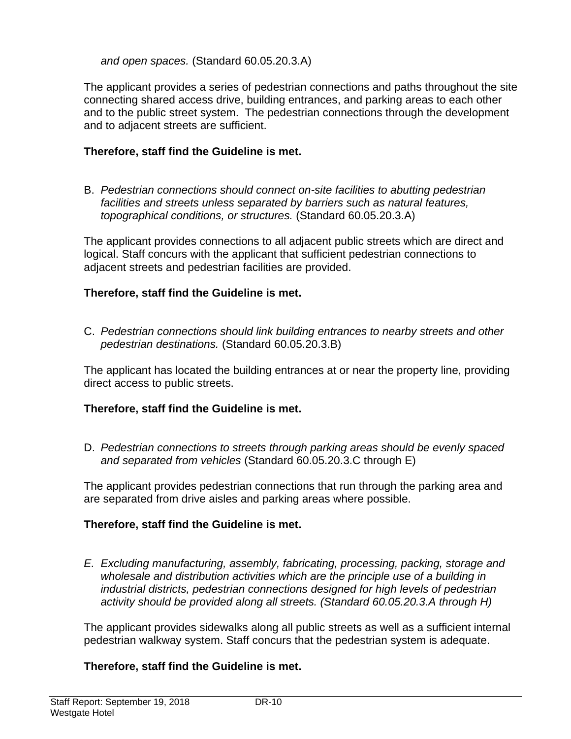*and open spaces.* (Standard 60.05.20.3.A)

The applicant provides a series of pedestrian connections and paths throughout the site connecting shared access drive, building entrances, and parking areas to each other and to the public street system. The pedestrian connections through the development and to adjacent streets are sufficient.

## **Therefore, staff find the Guideline is met.**

B. *Pedestrian connections should connect on-site facilities to abutting pedestrian facilities and streets unless separated by barriers such as natural features, topographical conditions, or structures.* (Standard 60.05.20.3.A)

The applicant provides connections to all adjacent public streets which are direct and logical. Staff concurs with the applicant that sufficient pedestrian connections to adjacent streets and pedestrian facilities are provided.

## **Therefore, staff find the Guideline is met.**

C. *Pedestrian connections should link building entrances to nearby streets and other pedestrian destinations.* (Standard 60.05.20.3.B)

The applicant has located the building entrances at or near the property line, providing direct access to public streets.

## **Therefore, staff find the Guideline is met.**

D. *Pedestrian connections to streets through parking areas should be evenly spaced and separated from vehicles* (Standard 60.05.20.3.C through E)

The applicant provides pedestrian connections that run through the parking area and are separated from drive aisles and parking areas where possible.

## **Therefore, staff find the Guideline is met.**

*E. Excluding manufacturing, assembly, fabricating, processing, packing, storage and wholesale and distribution activities which are the principle use of a building in industrial districts, pedestrian connections designed for high levels of pedestrian activity should be provided along all streets. (Standard 60.05.20.3.A through H)* 

The applicant provides sidewalks along all public streets as well as a sufficient internal pedestrian walkway system. Staff concurs that the pedestrian system is adequate.

## **Therefore, staff find the Guideline is met.**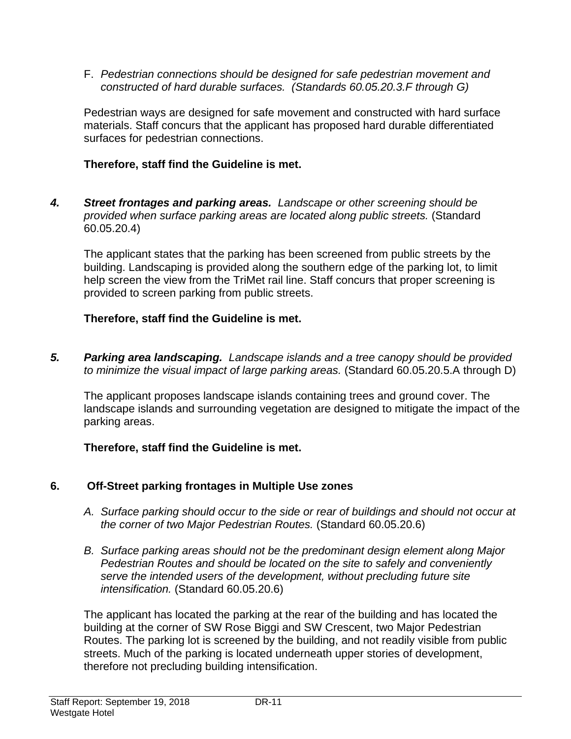F. *Pedestrian connections should be designed for safe pedestrian movement and constructed of hard durable surfaces. (Standards 60.05.20.3.F through G)* 

Pedestrian ways are designed for safe movement and constructed with hard surface materials. Staff concurs that the applicant has proposed hard durable differentiated surfaces for pedestrian connections.

## **Therefore, staff find the Guideline is met.**

*4. Street frontages and parking areas. Landscape or other screening should be provided when surface parking areas are located along public streets.* (Standard 60.05.20.4)

The applicant states that the parking has been screened from public streets by the building. Landscaping is provided along the southern edge of the parking lot, to limit help screen the view from the TriMet rail line. Staff concurs that proper screening is provided to screen parking from public streets.

## **Therefore, staff find the Guideline is met.**

*5. Parking area landscaping. Landscape islands and a tree canopy should be provided to minimize the visual impact of large parking areas.* (Standard 60.05.20.5.A through D)

The applicant proposes landscape islands containing trees and ground cover. The landscape islands and surrounding vegetation are designed to mitigate the impact of the parking areas.

## **Therefore, staff find the Guideline is met.**

# **6. Off-Street parking frontages in Multiple Use zones**

- *A. Surface parking should occur to the side or rear of buildings and should not occur at the corner of two Major Pedestrian Routes.* (Standard 60.05.20.6)
- *B. Surface parking areas should not be the predominant design element along Major Pedestrian Routes and should be located on the site to safely and conveniently serve the intended users of the development, without precluding future site intensification.* (Standard 60.05.20.6)

The applicant has located the parking at the rear of the building and has located the building at the corner of SW Rose Biggi and SW Crescent, two Major Pedestrian Routes. The parking lot is screened by the building, and not readily visible from public streets. Much of the parking is located underneath upper stories of development, therefore not precluding building intensification.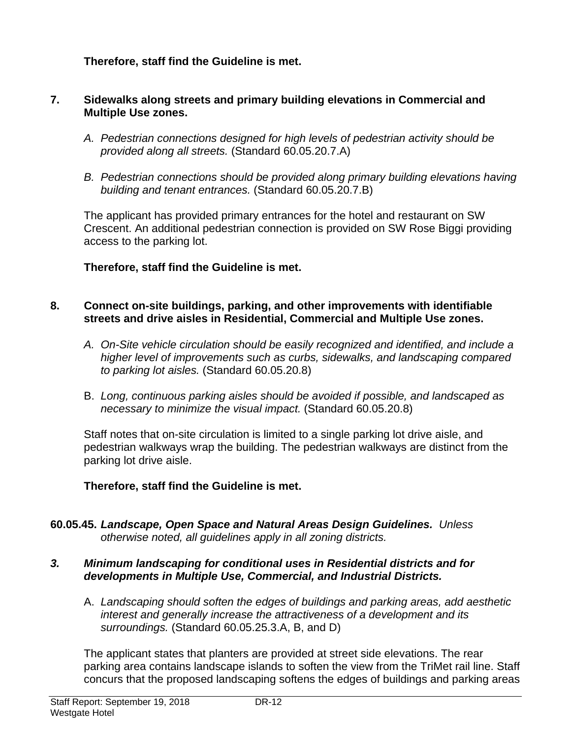## **Therefore, staff find the Guideline is met.**

#### **7. Sidewalks along streets and primary building elevations in Commercial and Multiple Use zones.**

- *A. Pedestrian connections designed for high levels of pedestrian activity should be provided along all streets.* (Standard 60.05.20.7.A)
- *B. Pedestrian connections should be provided along primary building elevations having building and tenant entrances.* (Standard 60.05.20.7.B)

The applicant has provided primary entrances for the hotel and restaurant on SW Crescent. An additional pedestrian connection is provided on SW Rose Biggi providing access to the parking lot.

## **Therefore, staff find the Guideline is met.**

#### **8. Connect on-site buildings, parking, and other improvements with identifiable streets and drive aisles in Residential, Commercial and Multiple Use zones.**

- *A. On-Site vehicle circulation should be easily recognized and identified, and include a higher level of improvements such as curbs, sidewalks, and landscaping compared to parking lot aisles.* (Standard 60.05.20.8)
- B. *Long, continuous parking aisles should be avoided if possible, and landscaped as necessary to minimize the visual impact.* (Standard 60.05.20.8)

Staff notes that on-site circulation is limited to a single parking lot drive aisle, and pedestrian walkways wrap the building. The pedestrian walkways are distinct from the parking lot drive aisle.

## **Therefore, staff find the Guideline is met.**

**60.05.45.** *Landscape, Open Space and Natural Areas Design Guidelines. Unless otherwise noted, all guidelines apply in all zoning districts.*

#### *3. Minimum landscaping for conditional uses in Residential districts and for developments in Multiple Use, Commercial, and Industrial Districts.*

A. *Landscaping should soften the edges of buildings and parking areas, add aesthetic interest and generally increase the attractiveness of a development and its surroundings.* (Standard 60.05.25.3.A, B, and D)

The applicant states that planters are provided at street side elevations. The rear parking area contains landscape islands to soften the view from the TriMet rail line. Staff concurs that the proposed landscaping softens the edges of buildings and parking areas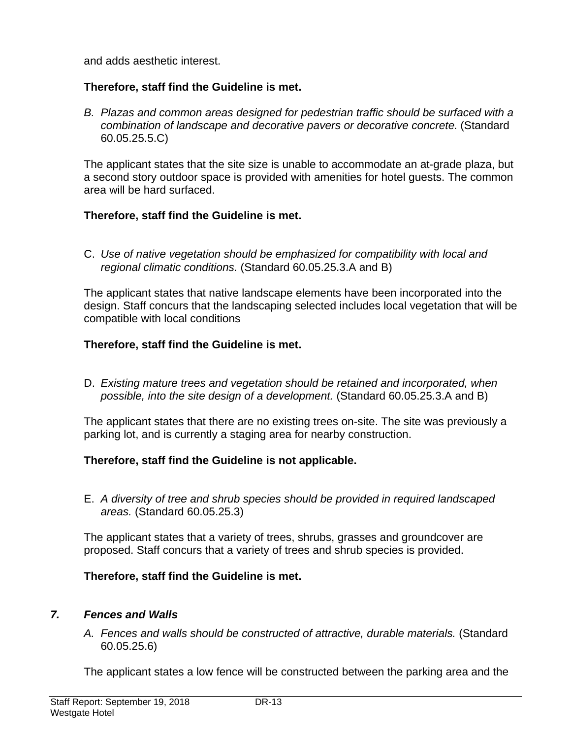and adds aesthetic interest.

## **Therefore, staff find the Guideline is met.**

*B. Plazas and common areas designed for pedestrian traffic should be surfaced with a combination of landscape and decorative pavers or decorative concrete.* (Standard 60.05.25.5.C)

The applicant states that the site size is unable to accommodate an at-grade plaza, but a second story outdoor space is provided with amenities for hotel guests. The common area will be hard surfaced.

## **Therefore, staff find the Guideline is met.**

C. *Use of native vegetation should be emphasized for compatibility with local and regional climatic conditions.* (Standard 60.05.25.3.A and B)

The applicant states that native landscape elements have been incorporated into the design. Staff concurs that the landscaping selected includes local vegetation that will be compatible with local conditions

## **Therefore, staff find the Guideline is met.**

D. *Existing mature trees and vegetation should be retained and incorporated, when possible, into the site design of a development.* (Standard 60.05.25.3.A and B)

The applicant states that there are no existing trees on-site. The site was previously a parking lot, and is currently a staging area for nearby construction.

## **Therefore, staff find the Guideline is not applicable.**

E. *A diversity of tree and shrub species should be provided in required landscaped areas.* (Standard 60.05.25.3)

The applicant states that a variety of trees, shrubs, grasses and groundcover are proposed. Staff concurs that a variety of trees and shrub species is provided.

## **Therefore, staff find the Guideline is met.**

## *7. Fences and Walls*

*A. Fences and walls should be constructed of attractive, durable materials.* (Standard 60.05.25.6)

The applicant states a low fence will be constructed between the parking area and the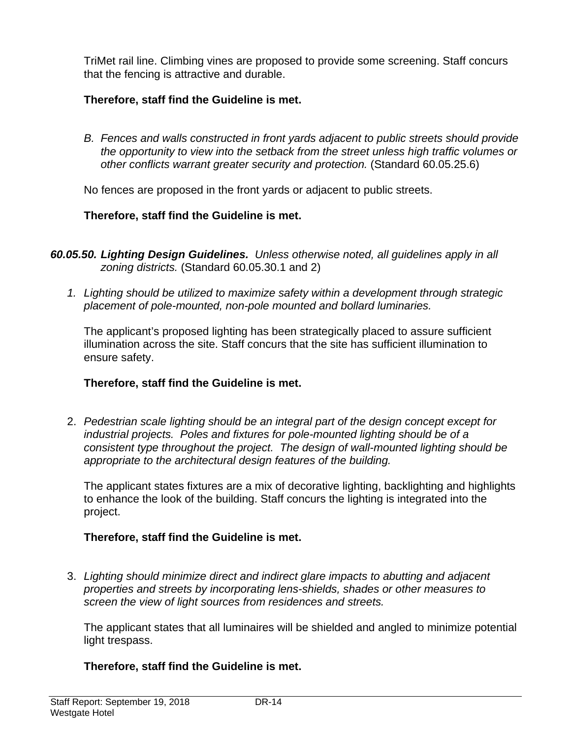TriMet rail line. Climbing vines are proposed to provide some screening. Staff concurs that the fencing is attractive and durable.

## **Therefore, staff find the Guideline is met.**

*B. Fences and walls constructed in front yards adjacent to public streets should provide the opportunity to view into the setback from the street unless high traffic volumes or other conflicts warrant greater security and protection.* (Standard 60.05.25.6)

No fences are proposed in the front yards or adjacent to public streets.

## **Therefore, staff find the Guideline is met.**

- *60.05.50. Lighting Design Guidelines. Unless otherwise noted, all guidelines apply in all zoning districts.* (Standard 60.05.30.1 and 2)
	- *1. Lighting should be utilized to maximize safety within a development through strategic placement of pole-mounted, non-pole mounted and bollard luminaries.*

The applicant's proposed lighting has been strategically placed to assure sufficient illumination across the site. Staff concurs that the site has sufficient illumination to ensure safety.

## **Therefore, staff find the Guideline is met.**

2. *Pedestrian scale lighting should be an integral part of the design concept except for industrial projects. Poles and fixtures for pole-mounted lighting should be of a consistent type throughout the project. The design of wall-mounted lighting should be appropriate to the architectural design features of the building.*

The applicant states fixtures are a mix of decorative lighting, backlighting and highlights to enhance the look of the building. Staff concurs the lighting is integrated into the project.

## **Therefore, staff find the Guideline is met.**

3. *Lighting should minimize direct and indirect glare impacts to abutting and adjacent properties and streets by incorporating lens-shields, shades or other measures to screen the view of light sources from residences and streets.*

The applicant states that all luminaires will be shielded and angled to minimize potential light trespass.

## **Therefore, staff find the Guideline is met.**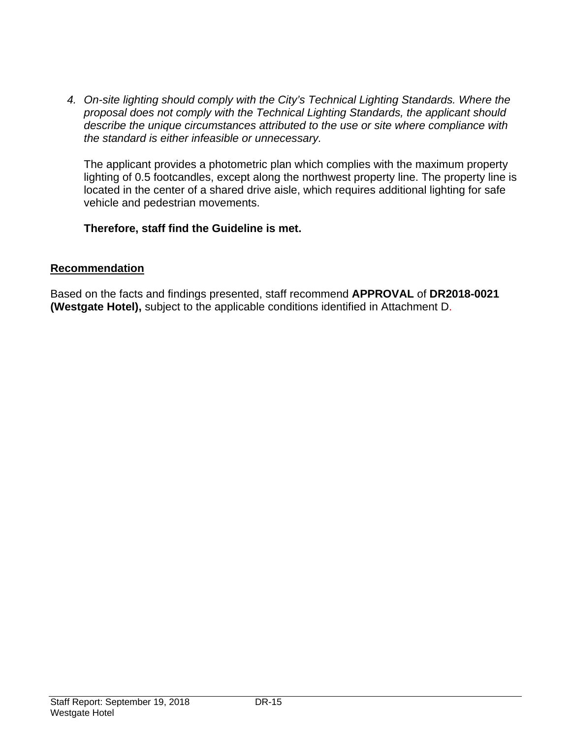*4. On-site lighting should comply with the City's Technical Lighting Standards. Where the proposal does not comply with the Technical Lighting Standards, the applicant should describe the unique circumstances attributed to the use or site where compliance with the standard is either infeasible or unnecessary.* 

The applicant provides a photometric plan which complies with the maximum property lighting of 0.5 footcandles, except along the northwest property line. The property line is located in the center of a shared drive aisle, which requires additional lighting for safe vehicle and pedestrian movements.

## **Therefore, staff find the Guideline is met.**

## **Recommendation**

Based on the facts and findings presented, staff recommend **APPROVAL** of **DR2018-0021 (Westgate Hotel),** subject to the applicable conditions identified in Attachment D.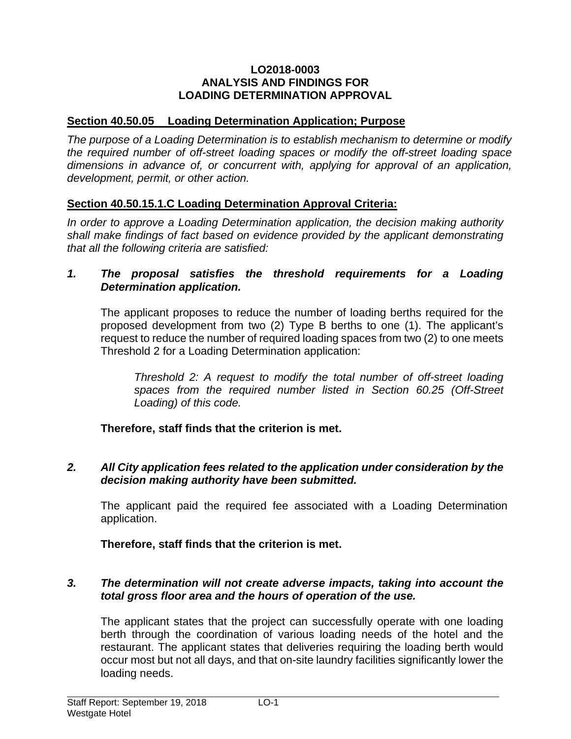#### **LO2018-0003 ANALYSIS AND FINDINGS FOR LOADING DETERMINATION APPROVAL**

## **Section 40.50.05 Loading Determination Application; Purpose**

*The purpose of a Loading Determination is to establish mechanism to determine or modify the required number of off-street loading spaces or modify the off-street loading space dimensions in advance of, or concurrent with, applying for approval of an application, development, permit, or other action.* 

## **Section 40.50.15.1.C Loading Determination Approval Criteria:**

*In order to approve a Loading Determination application, the decision making authority shall make findings of fact based on evidence provided by the applicant demonstrating that all the following criteria are satisfied:* 

#### *1. The proposal satisfies the threshold requirements for a Loading Determination application.*

The applicant proposes to reduce the number of loading berths required for the proposed development from two (2) Type B berths to one (1). The applicant's request to reduce the number of required loading spaces from two (2) to one meets Threshold 2 for a Loading Determination application:

*Threshold 2: A request to modify the total number of off-street loading spaces from the required number listed in Section 60.25 (Off-Street Loading) of this code.* 

**Therefore, staff finds that the criterion is met.** 

## *2. All City application fees related to the application under consideration by the decision making authority have been submitted.*

The applicant paid the required fee associated with a Loading Determination application.

**Therefore, staff finds that the criterion is met.** 

#### *3. The determination will not create adverse impacts, taking into account the total gross floor area and the hours of operation of the use.*

The applicant states that the project can successfully operate with one loading berth through the coordination of various loading needs of the hotel and the restaurant. The applicant states that deliveries requiring the loading berth would occur most but not all days, and that on-site laundry facilities significantly lower the loading needs.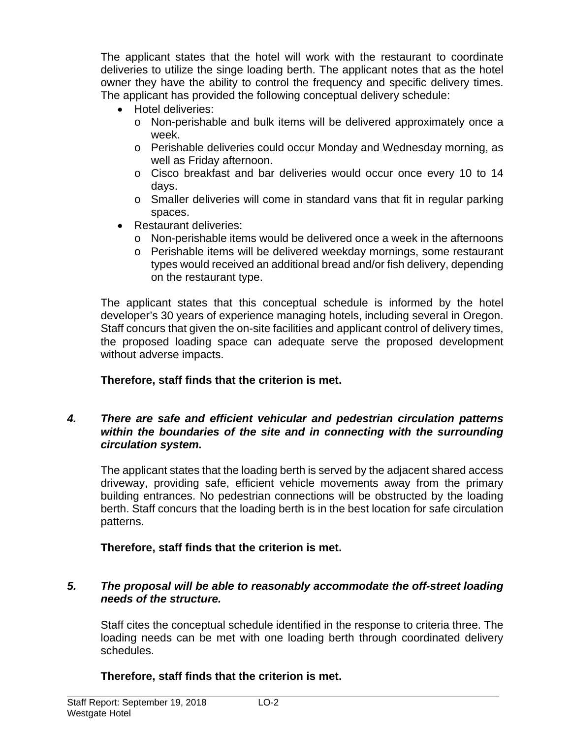The applicant states that the hotel will work with the restaurant to coordinate deliveries to utilize the singe loading berth. The applicant notes that as the hotel owner they have the ability to control the frequency and specific delivery times. The applicant has provided the following conceptual delivery schedule:

- Hotel deliveries:
	- o Non-perishable and bulk items will be delivered approximately once a week.
	- o Perishable deliveries could occur Monday and Wednesday morning, as well as Friday afternoon.
	- o Cisco breakfast and bar deliveries would occur once every 10 to 14 days.
	- $\circ$  Smaller deliveries will come in standard vans that fit in regular parking spaces.
- Restaurant deliveries:
	- o Non-perishable items would be delivered once a week in the afternoons
	- o Perishable items will be delivered weekday mornings, some restaurant types would received an additional bread and/or fish delivery, depending on the restaurant type.

The applicant states that this conceptual schedule is informed by the hotel developer's 30 years of experience managing hotels, including several in Oregon. Staff concurs that given the on-site facilities and applicant control of delivery times, the proposed loading space can adequate serve the proposed development without adverse impacts.

## **Therefore, staff finds that the criterion is met.**

#### *4. There are safe and efficient vehicular and pedestrian circulation patterns within the boundaries of the site and in connecting with the surrounding circulation system.*

The applicant states that the loading berth is served by the adjacent shared access driveway, providing safe, efficient vehicle movements away from the primary building entrances. No pedestrian connections will be obstructed by the loading berth. Staff concurs that the loading berth is in the best location for safe circulation patterns.

## **Therefore, staff finds that the criterion is met.**

## *5. The proposal will be able to reasonably accommodate the off-street loading needs of the structure.*

Staff cites the conceptual schedule identified in the response to criteria three. The loading needs can be met with one loading berth through coordinated delivery schedules.

## **Therefore, staff finds that the criterion is met.**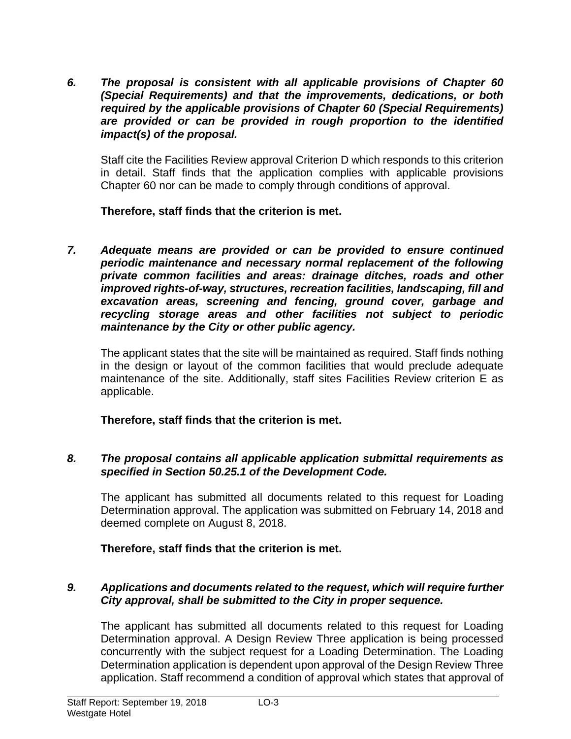*6. The proposal is consistent with all applicable provisions of Chapter 60 (Special Requirements) and that the improvements, dedications, or both required by the applicable provisions of Chapter 60 (Special Requirements) are provided or can be provided in rough proportion to the identified impact(s) of the proposal.* 

Staff cite the Facilities Review approval Criterion D which responds to this criterion in detail. Staff finds that the application complies with applicable provisions Chapter 60 nor can be made to comply through conditions of approval.

**Therefore, staff finds that the criterion is met.** 

*7. Adequate means are provided or can be provided to ensure continued periodic maintenance and necessary normal replacement of the following private common facilities and areas: drainage ditches, roads and other improved rights-of-way, structures, recreation facilities, landscaping, fill and excavation areas, screening and fencing, ground cover, garbage and recycling storage areas and other facilities not subject to periodic maintenance by the City or other public agency.* 

The applicant states that the site will be maintained as required. Staff finds nothing in the design or layout of the common facilities that would preclude adequate maintenance of the site. Additionally, staff sites Facilities Review criterion E as applicable.

**Therefore, staff finds that the criterion is met.** 

## *8. The proposal contains all applicable application submittal requirements as specified in Section 50.25.1 of the Development Code.*

The applicant has submitted all documents related to this request for Loading Determination approval. The application was submitted on February 14, 2018 and deemed complete on August 8, 2018.

## **Therefore, staff finds that the criterion is met.**

## *9. Applications and documents related to the request, which will require further City approval, shall be submitted to the City in proper sequence.*

The applicant has submitted all documents related to this request for Loading Determination approval. A Design Review Three application is being processed concurrently with the subject request for a Loading Determination. The Loading Determination application is dependent upon approval of the Design Review Three application. Staff recommend a condition of approval which states that approval of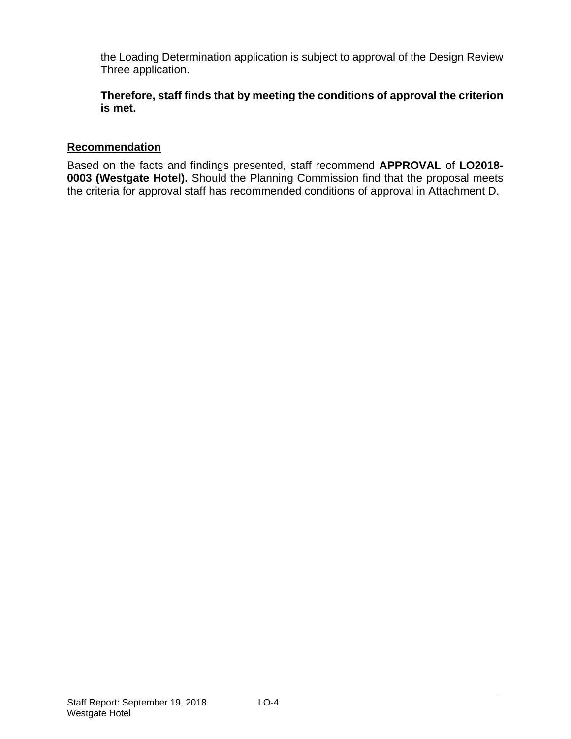the Loading Determination application is subject to approval of the Design Review Three application.

**Therefore, staff finds that by meeting the conditions of approval the criterion is met.** 

## **Recommendation**

Based on the facts and findings presented, staff recommend **APPROVAL** of **LO2018- 0003 (Westgate Hotel).** Should the Planning Commission find that the proposal meets the criteria for approval staff has recommended conditions of approval in Attachment D.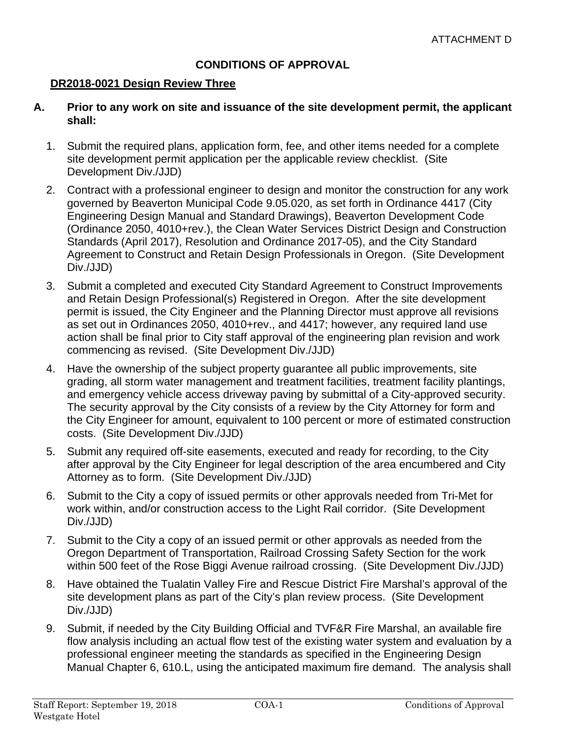## **CONDITIONS OF APPROVAL**

#### **DR2018-0021 Design Review Three**

#### **A. Prior to any work on site and issuance of the site development permit, the applicant shall:**

- 1. Submit the required plans, application form, fee, and other items needed for a complete site development permit application per the applicable review checklist. (Site Development Div./JJD)
- 2. Contract with a professional engineer to design and monitor the construction for any work governed by Beaverton Municipal Code 9.05.020, as set forth in Ordinance 4417 (City Engineering Design Manual and Standard Drawings), Beaverton Development Code (Ordinance 2050, 4010+rev.), the Clean Water Services District Design and Construction Standards (April 2017), Resolution and Ordinance 2017-05), and the City Standard Agreement to Construct and Retain Design Professionals in Oregon. (Site Development Div./JJD)
- 3. Submit a completed and executed City Standard Agreement to Construct Improvements and Retain Design Professional(s) Registered in Oregon. After the site development permit is issued, the City Engineer and the Planning Director must approve all revisions as set out in Ordinances 2050, 4010+rev., and 4417; however, any required land use action shall be final prior to City staff approval of the engineering plan revision and work commencing as revised. (Site Development Div./JJD)
- 4. Have the ownership of the subject property guarantee all public improvements, site grading, all storm water management and treatment facilities, treatment facility plantings, and emergency vehicle access driveway paving by submittal of a City-approved security. The security approval by the City consists of a review by the City Attorney for form and the City Engineer for amount, equivalent to 100 percent or more of estimated construction costs. (Site Development Div./JJD)
- 5. Submit any required off-site easements, executed and ready for recording, to the City after approval by the City Engineer for legal description of the area encumbered and City Attorney as to form. (Site Development Div./JJD)
- 6. Submit to the City a copy of issued permits or other approvals needed from Tri-Met for work within, and/or construction access to the Light Rail corridor. (Site Development Div./JJD)
- 7. Submit to the City a copy of an issued permit or other approvals as needed from the Oregon Department of Transportation, Railroad Crossing Safety Section for the work within 500 feet of the Rose Biggi Avenue railroad crossing. (Site Development Div./JJD)
- 8. Have obtained the Tualatin Valley Fire and Rescue District Fire Marshal's approval of the site development plans as part of the City's plan review process. (Site Development Div./JJD)
- 9. Submit, if needed by the City Building Official and TVF&R Fire Marshal, an available fire flow analysis including an actual flow test of the existing water system and evaluation by a professional engineer meeting the standards as specified in the Engineering Design Manual Chapter 6, 610.L, using the anticipated maximum fire demand. The analysis shall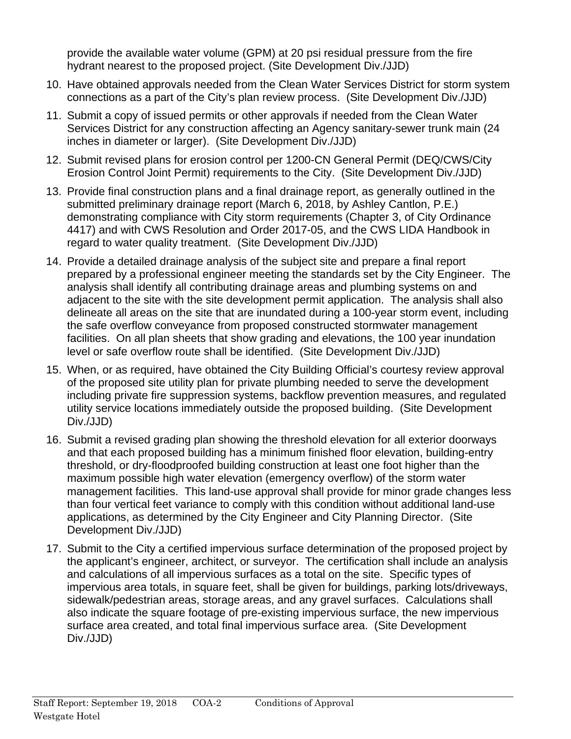provide the available water volume (GPM) at 20 psi residual pressure from the fire hydrant nearest to the proposed project. (Site Development Div./JJD)

- 10. Have obtained approvals needed from the Clean Water Services District for storm system connections as a part of the City's plan review process. (Site Development Div./JJD)
- 11. Submit a copy of issued permits or other approvals if needed from the Clean Water Services District for any construction affecting an Agency sanitary-sewer trunk main (24 inches in diameter or larger). (Site Development Div./JJD)
- 12. Submit revised plans for erosion control per 1200-CN General Permit (DEQ/CWS/City Erosion Control Joint Permit) requirements to the City. (Site Development Div./JJD)
- 13. Provide final construction plans and a final drainage report, as generally outlined in the submitted preliminary drainage report (March 6, 2018, by Ashley Cantlon, P.E.) demonstrating compliance with City storm requirements (Chapter 3, of City Ordinance 4417) and with CWS Resolution and Order 2017-05, and the CWS LIDA Handbook in regard to water quality treatment. (Site Development Div./JJD)
- 14. Provide a detailed drainage analysis of the subject site and prepare a final report prepared by a professional engineer meeting the standards set by the City Engineer. The analysis shall identify all contributing drainage areas and plumbing systems on and adjacent to the site with the site development permit application. The analysis shall also delineate all areas on the site that are inundated during a 100-year storm event, including the safe overflow conveyance from proposed constructed stormwater management facilities. On all plan sheets that show grading and elevations, the 100 year inundation level or safe overflow route shall be identified. (Site Development Div./JJD)
- 15. When, or as required, have obtained the City Building Official's courtesy review approval of the proposed site utility plan for private plumbing needed to serve the development including private fire suppression systems, backflow prevention measures, and regulated utility service locations immediately outside the proposed building. (Site Development Div./JJD)
- 16. Submit a revised grading plan showing the threshold elevation for all exterior doorways and that each proposed building has a minimum finished floor elevation, building-entry threshold, or dry-floodproofed building construction at least one foot higher than the maximum possible high water elevation (emergency overflow) of the storm water management facilities. This land-use approval shall provide for minor grade changes less than four vertical feet variance to comply with this condition without additional land-use applications, as determined by the City Engineer and City Planning Director. (Site Development Div./JJD)
- 17. Submit to the City a certified impervious surface determination of the proposed project by the applicant's engineer, architect, or surveyor. The certification shall include an analysis and calculations of all impervious surfaces as a total on the site. Specific types of impervious area totals, in square feet, shall be given for buildings, parking lots/driveways, sidewalk/pedestrian areas, storage areas, and any gravel surfaces. Calculations shall also indicate the square footage of pre-existing impervious surface, the new impervious surface area created, and total final impervious surface area. (Site Development Div./JJD)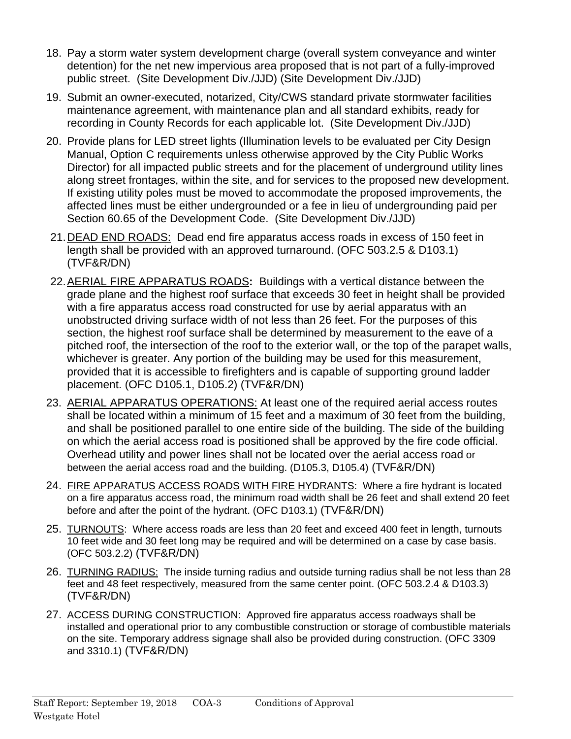- 18. Pay a storm water system development charge (overall system conveyance and winter detention) for the net new impervious area proposed that is not part of a fully-improved public street. (Site Development Div./JJD) (Site Development Div./JJD)
- 19. Submit an owner-executed, notarized, City/CWS standard private stormwater facilities maintenance agreement, with maintenance plan and all standard exhibits, ready for recording in County Records for each applicable lot. (Site Development Div./JJD)
- 20. Provide plans for LED street lights (Illumination levels to be evaluated per City Design Manual, Option C requirements unless otherwise approved by the City Public Works Director) for all impacted public streets and for the placement of underground utility lines along street frontages, within the site, and for services to the proposed new development. If existing utility poles must be moved to accommodate the proposed improvements, the affected lines must be either undergrounded or a fee in lieu of undergrounding paid per Section 60.65 of the Development Code. (Site Development Div./JJD)
- 21. DEAD END ROADS: Dead end fire apparatus access roads in excess of 150 feet in length shall be provided with an approved turnaround. (OFC 503.2.5 & D103.1) (TVF&R/DN)
- 22. AERIAL FIRE APPARATUS ROADS**:** Buildings with a vertical distance between the grade plane and the highest roof surface that exceeds 30 feet in height shall be provided with a fire apparatus access road constructed for use by aerial apparatus with an unobstructed driving surface width of not less than 26 feet. For the purposes of this section, the highest roof surface shall be determined by measurement to the eave of a pitched roof, the intersection of the roof to the exterior wall, or the top of the parapet walls, whichever is greater. Any portion of the building may be used for this measurement, provided that it is accessible to firefighters and is capable of supporting ground ladder placement. (OFC D105.1, D105.2) (TVF&R/DN)
- 23. AERIAL APPARATUS OPERATIONS: At least one of the required aerial access routes shall be located within a minimum of 15 feet and a maximum of 30 feet from the building, and shall be positioned parallel to one entire side of the building. The side of the building on which the aerial access road is positioned shall be approved by the fire code official. Overhead utility and power lines shall not be located over the aerial access road or between the aerial access road and the building. (D105.3, D105.4) (TVF&R/DN)
- 24. FIRE APPARATUS ACCESS ROADS WITH FIRE HYDRANTS: Where a fire hydrant is located on a fire apparatus access road, the minimum road width shall be 26 feet and shall extend 20 feet before and after the point of the hydrant. (OFC D103.1) (TVF&R/DN)
- 25. TURNOUTS: Where access roads are less than 20 feet and exceed 400 feet in length, turnouts 10 feet wide and 30 feet long may be required and will be determined on a case by case basis. (OFC 503.2.2) (TVF&R/DN)
- 26. TURNING RADIUS: The inside turning radius and outside turning radius shall be not less than 28 feet and 48 feet respectively, measured from the same center point. (OFC 503.2.4 & D103.3) (TVF&R/DN)
- 27. ACCESS DURING CONSTRUCTION: Approved fire apparatus access roadways shall be installed and operational prior to any combustible construction or storage of combustible materials on the site. Temporary address signage shall also be provided during construction. (OFC 3309 and 3310.1) (TVF&R/DN)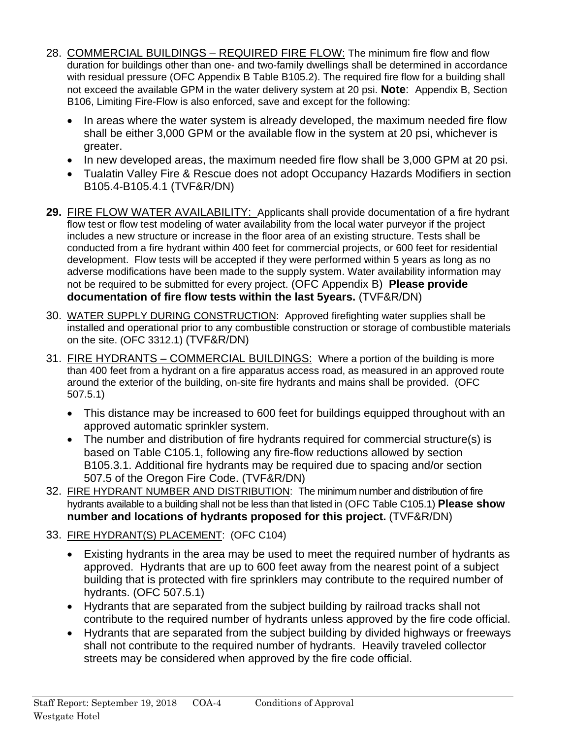- 28. COMMERCIAL BUILDINGS REQUIRED FIRE FLOW: The minimum fire flow and flow duration for buildings other than one- and two-family dwellings shall be determined in accordance with residual pressure (OFC Appendix B Table B105.2). The required fire flow for a building shall not exceed the available GPM in the water delivery system at 20 psi. **Note**: Appendix B, Section B106, Limiting Fire-Flow is also enforced, save and except for the following:
	- In areas where the water system is already developed, the maximum needed fire flow shall be either 3,000 GPM or the available flow in the system at 20 psi, whichever is greater.
	- In new developed areas, the maximum needed fire flow shall be 3,000 GPM at 20 psi.
	- Tualatin Valley Fire & Rescue does not adopt Occupancy Hazards Modifiers in section B105.4-B105.4.1 (TVF&R/DN)
- **29.** FIRE FLOW WATER AVAILABILITY: Applicants shall provide documentation of a fire hydrant flow test or flow test modeling of water availability from the local water purveyor if the project includes a new structure or increase in the floor area of an existing structure. Tests shall be conducted from a fire hydrant within 400 feet for commercial projects, or 600 feet for residential development. Flow tests will be accepted if they were performed within 5 years as long as no adverse modifications have been made to the supply system. Water availability information may not be required to be submitted for every project. (OFC Appendix B) **Please provide documentation of fire flow tests within the last 5years.** (TVF&R/DN)
- 30. WATER SUPPLY DURING CONSTRUCTION: Approved firefighting water supplies shall be installed and operational prior to any combustible construction or storage of combustible materials on the site. (OFC 3312.1) (TVF&R/DN)
- 31. FIRE HYDRANTS COMMERCIAL BUILDINGS: Where a portion of the building is more than 400 feet from a hydrant on a fire apparatus access road, as measured in an approved route around the exterior of the building, on-site fire hydrants and mains shall be provided. (OFC 507.5.1)
	- This distance may be increased to 600 feet for buildings equipped throughout with an approved automatic sprinkler system.
	- The number and distribution of fire hydrants required for commercial structure(s) is based on Table C105.1, following any fire-flow reductions allowed by section B105.3.1. Additional fire hydrants may be required due to spacing and/or section 507.5 of the Oregon Fire Code. (TVF&R/DN)
- 32. FIRE HYDRANT NUMBER AND DISTRIBUTION: The minimum number and distribution of fire hydrants available to a building shall not be less than that listed in (OFC Table C105.1) **Please show number and locations of hydrants proposed for this project.** (TVF&R/DN)
- 33. FIRE HYDRANT(S) PLACEMENT: (OFC C104)
	- Existing hydrants in the area may be used to meet the required number of hydrants as approved. Hydrants that are up to 600 feet away from the nearest point of a subject building that is protected with fire sprinklers may contribute to the required number of hydrants. (OFC 507.5.1)
	- Hydrants that are separated from the subject building by railroad tracks shall not contribute to the required number of hydrants unless approved by the fire code official.
	- Hydrants that are separated from the subject building by divided highways or freeways shall not contribute to the required number of hydrants. Heavily traveled collector streets may be considered when approved by the fire code official.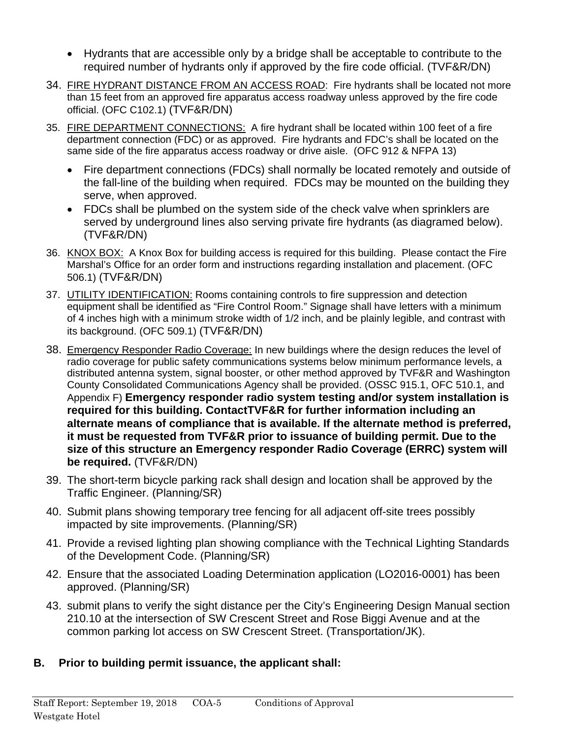- Hydrants that are accessible only by a bridge shall be acceptable to contribute to the required number of hydrants only if approved by the fire code official. (TVF&R/DN)
- 34. FIRE HYDRANT DISTANCE FROM AN ACCESS ROAD: Fire hydrants shall be located not more than 15 feet from an approved fire apparatus access roadway unless approved by the fire code official. (OFC C102.1) (TVF&R/DN)
- 35. FIRE DEPARTMENT CONNECTIONS: A fire hydrant shall be located within 100 feet of a fire department connection (FDC) or as approved. Fire hydrants and FDC's shall be located on the same side of the fire apparatus access roadway or drive aisle. (OFC 912 & NFPA 13)
	- Fire department connections (FDCs) shall normally be located remotely and outside of the fall-line of the building when required. FDCs may be mounted on the building they serve, when approved.
	- FDCs shall be plumbed on the system side of the check valve when sprinklers are served by underground lines also serving private fire hydrants (as diagramed below). (TVF&R/DN)
- 36. KNOX BOX: A Knox Box for building access is required for this building. Please contact the Fire Marshal's Office for an order form and instructions regarding installation and placement. (OFC 506.1) (TVF&R/DN)
- 37. UTILITY IDENTIFICATION: Rooms containing controls to fire suppression and detection equipment shall be identified as "Fire Control Room." Signage shall have letters with a minimum of 4 inches high with a minimum stroke width of 1/2 inch, and be plainly legible, and contrast with its background. (OFC 509.1) (TVF&R/DN)
- 38. Emergency Responder Radio Coverage: In new buildings where the design reduces the level of radio coverage for public safety communications systems below minimum performance levels, a distributed antenna system, signal booster, or other method approved by TVF&R and Washington County Consolidated Communications Agency shall be provided. (OSSC 915.1, OFC 510.1, and Appendix F) **Emergency responder radio system testing and/or system installation is required for this building. ContactTVF&R for further information including an alternate means of compliance that is available. If the alternate method is preferred, it must be requested from TVF&R prior to issuance of building permit. Due to the size of this structure an Emergency responder Radio Coverage (ERRC) system will be required.** (TVF&R/DN)
- 39. The short-term bicycle parking rack shall design and location shall be approved by the Traffic Engineer. (Planning/SR)
- 40. Submit plans showing temporary tree fencing for all adjacent off-site trees possibly impacted by site improvements. (Planning/SR)
- 41. Provide a revised lighting plan showing compliance with the Technical Lighting Standards of the Development Code. (Planning/SR)
- 42. Ensure that the associated Loading Determination application (LO2016-0001) has been approved. (Planning/SR)
- 43. submit plans to verify the sight distance per the City's Engineering Design Manual section 210.10 at the intersection of SW Crescent Street and Rose Biggi Avenue and at the common parking lot access on SW Crescent Street. (Transportation/JK).
- **B. Prior to building permit issuance, the applicant shall:**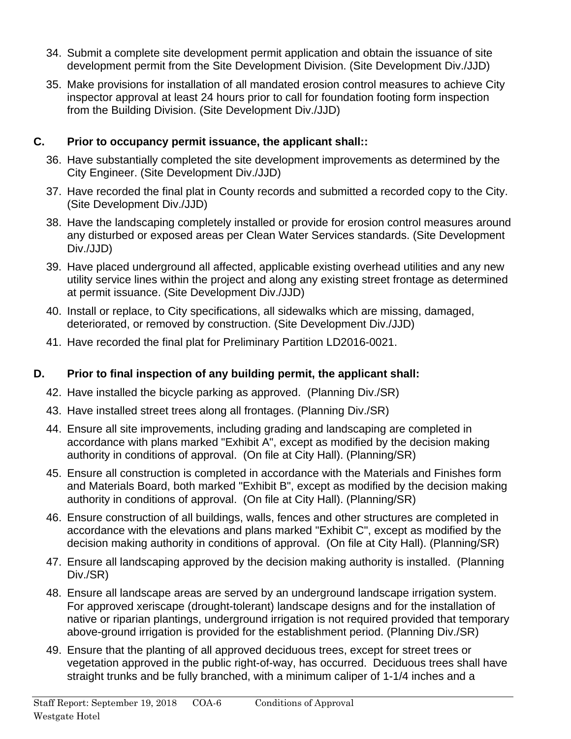- 34. Submit a complete site development permit application and obtain the issuance of site development permit from the Site Development Division. (Site Development Div./JJD)
- 35. Make provisions for installation of all mandated erosion control measures to achieve City inspector approval at least 24 hours prior to call for foundation footing form inspection from the Building Division. (Site Development Div./JJD)

## **C. Prior to occupancy permit issuance, the applicant shall::**

- 36. Have substantially completed the site development improvements as determined by the City Engineer. (Site Development Div./JJD)
- 37. Have recorded the final plat in County records and submitted a recorded copy to the City. (Site Development Div./JJD)
- 38. Have the landscaping completely installed or provide for erosion control measures around any disturbed or exposed areas per Clean Water Services standards. (Site Development Div./JJD)
- 39. Have placed underground all affected, applicable existing overhead utilities and any new utility service lines within the project and along any existing street frontage as determined at permit issuance. (Site Development Div./JJD)
- 40. Install or replace, to City specifications, all sidewalks which are missing, damaged, deteriorated, or removed by construction. (Site Development Div./JJD)
- 41. Have recorded the final plat for Preliminary Partition LD2016-0021.

# **D. Prior to final inspection of any building permit, the applicant shall:**

- 42. Have installed the bicycle parking as approved. (Planning Div./SR)
- 43. Have installed street trees along all frontages. (Planning Div./SR)
- 44. Ensure all site improvements, including grading and landscaping are completed in accordance with plans marked "Exhibit A", except as modified by the decision making authority in conditions of approval. (On file at City Hall). (Planning/SR)
- 45. Ensure all construction is completed in accordance with the Materials and Finishes form and Materials Board, both marked "Exhibit B", except as modified by the decision making authority in conditions of approval. (On file at City Hall). (Planning/SR)
- 46. Ensure construction of all buildings, walls, fences and other structures are completed in accordance with the elevations and plans marked "Exhibit C", except as modified by the decision making authority in conditions of approval. (On file at City Hall). (Planning/SR)
- 47. Ensure all landscaping approved by the decision making authority is installed. (Planning Div./SR)
- 48. Ensure all landscape areas are served by an underground landscape irrigation system. For approved xeriscape (drought-tolerant) landscape designs and for the installation of native or riparian plantings, underground irrigation is not required provided that temporary above-ground irrigation is provided for the establishment period. (Planning Div./SR)
- 49. Ensure that the planting of all approved deciduous trees, except for street trees or vegetation approved in the public right-of-way, has occurred. Deciduous trees shall have straight trunks and be fully branched, with a minimum caliper of 1-1/4 inches and a